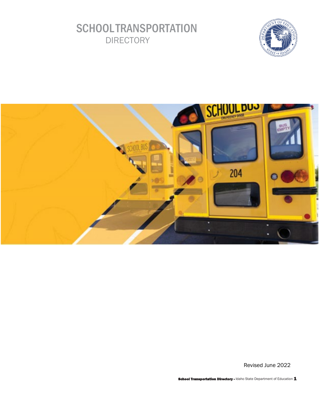# **SCHOOL TRANSPORTATION DIRECTORY**





Revised June 2022

ol Transportation Directory - Idaho State Department of Education 1.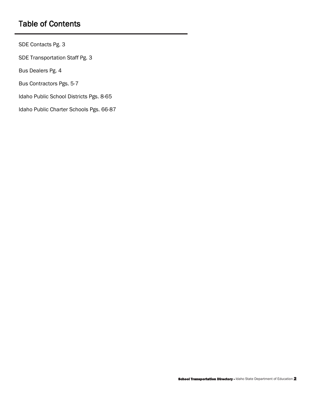# Table of Contents

[SDE Contacts Pg. 3](#page-2-0) [SDE Transportation Staff Pg. 3](#page-2-0) [Bus Dealers Pg. 4](#page-3-0) [Bus Contractors Pgs. 5-7](#page-4-0)  [Idaho Public School Districts Pgs. 8-65](#page-7-0)  [Idaho Public Charter Schools Pgs. 66-87](#page-65-0)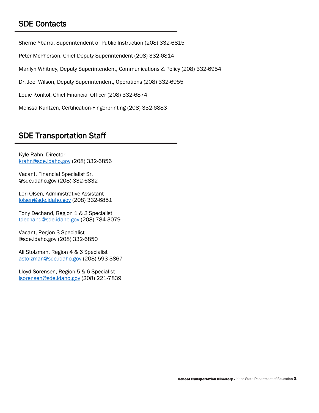# <span id="page-2-0"></span>SDE Contacts

Sherrie Ybarra, Superintendent of Public Instruction (208) 332-6815

Peter McPherson, Chief Deputy Superintendent (208) 332-6814

Marilyn Whitney, Deputy Superintendent, Communications & Policy (208) 332-6954

Dr. Joel Wilson, Deputy Superintendent, Operations (208) 332-6955<br>Louie Konkol, Chief Financial Officer (208) 332-6874

Melissa Kuntzen, Certification-Fingerprinting (208) 332-6883<br>SDE Transportation Staff

Kyle Rahn, Director [krahn@sde.idaho.gov](mailto:krahn@sde.idaho.gov) (208) 332-6856

Vacant, Financial Specialist Sr. [@sde.idaho.gov](https://sde.idaho.gov) (208)-332-6832

Lori Olsen, Administrative Assistant [lolsen@sde.idaho.gov](mailto:lolsen@sde.idaho.gov) (208) 332-6851

Tony Dechand, Region 1 & 2 Specialist [tdechand@sde.idaho.gov](mailto:tdechand@sde.idaho.gov) (208) 784-3079

Vacant, Region 3 Specialist [@sde.idaho.gov](https://sde.idaho.gov) (208) 332-6850

Ali Stolzman, Region 4 & 6 Specialist [astolzman@sde.idaho.gov](mailto:astolzman@sde.idaho.gov) (208) 593-3867

 [lsorensen@sde.idaho.gov](mailto:lsorensen@sde.idaho.gov) (208) 221-7839 Lloyd Sorensen, Region 5 & 6 Specialist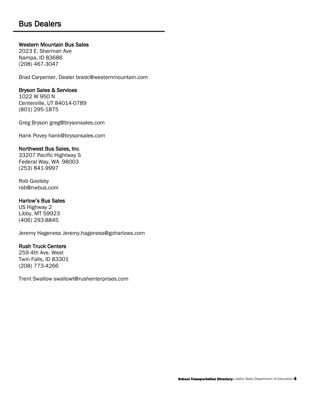## <span id="page-3-0"></span>**Bus Dealers**

#### **Western Mountain Bus Sales**

2023 E. Sherman Ave Nampa, ID 83686 (208) 467-3047

Brad Carpenter, Deale[r bradc@westernmountain.com](mailto:bradc@westernmountain.com) 

#### Bryson Sales & Services

1022 W 950 N Centerville, UT 84014-0789 (801) 295-1875

Greg Bryson [greg@brysonsales.com](mailto:greg@brysonsales.com) 

Hank Povey [hank@brysonsales.com](mailto:hank@brysonsales.com) Northwest Bus Sales, Inc.

33207 Pacific Hightway S Federal Way, WA 98003 (253) 841-9997

Rob Goolsby [rob@nwbus.com](mailto:rob@nwbus.com) 

#### Harlow's Bus Sales

US Highway 2 Libby, MT 59923 (406) 293-8845

Jeremy Hageness [Jeremy.hageness@goharlows.com](mailto:Jeremy.hageness@goharlows.com) 

#### Rush Truck Centers

 259 4th Ave. West Twin Falls, ID 83301 (208) 773-4266

Trent Swallow [swallowt@rushenterprises.com](mailto:swallowt@rushenterprises.com)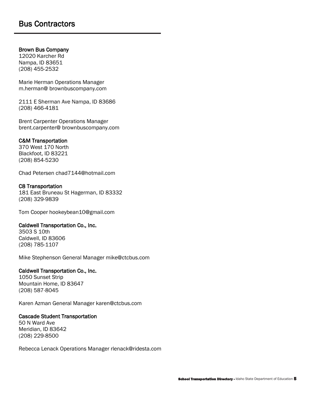#### <span id="page-4-0"></span>Brown Bus Company

12020 Karcher Rd Nampa, ID 83651 (208) 455-2532

 Marie Herman Operations Manager m.herman@ [brownbuscompany.com](https://brownbuscompany.com) 

2111 E Sherman Ave Nampa, ID 83686 (208) 466-4181

Brent Carpenter Operations Manager brent.carpenter@ [brownbuscompany.com](https://brownbuscompany.com)

#### C&M Transportation

370 West 170 North Blackfoot, ID 83221 (208) 854-5230

Chad Petersen [chad7144@hotmail.com](mailto:chad7144@hotmail.com) 

#### C8 Transportation

 181 East Bruneau St Hagerman, ID 83332 (208) 329-9839

Tom Cooper [hookeybean10@gmail.com](mailto:hookeybean10@gmail.com) 

#### Caldwell Transportation Co., Inc.

3503 S 10th Caldwell, ID 83606 (208) 785-1107

Mike Stephenson General Manager mike@ctcbus.com<br>**Caldwell Transportation Co., Inc.** 

1050 Sunset Strip Mountain Home, ID 83647 (208) 587-8045

Karen Azman General Manage[r k](mailto:karen@ctcbus.com)[aren@ctcbus.com](mailto:aren@ctcbus.com) 

#### Cascade Student Transportation

50 N Ward Ave Meridian, ID 83642 (208) 229-8500

Rebecca Lenack Operations Manager [rlenack@ridesta.com](mailto:rlenack@ridesta.com)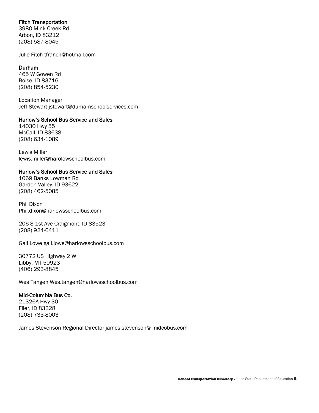#### Fitch Transportation

3980 Mink Creek Rd Arbon, ID 83212 (208) 587-8045

Julie Fitch [tfranch@hotmail.com](mailto:tfranch@hotmail.com) 

#### Durham

 465 W Gowen Rd Boise, ID 83716 (208) 854-5230

Jeff Stewart jstewart@durhamschoolservices.com<br>**Harlow's School Bus Service and Sales** Location Manager

14030 Hwy 55 McCall, ID 83638 (208) 634-1089

Lewis Miller [lewis.miller@harolowschoolbus.com](mailto:lewis.miller@harolowschoolbus.com) 

#### Harlow's School Bus Service and Sales

1069 Banks Lowman Rd Garden Valley, ID 93622 (208) 462-5085

Phil Dixon [Phil.dixon@harlowsschoolbus.com](mailto:Phil.dixon@harlowsschoolbus.com) 

206 S 1st Ave Craigmont, ID 83523 (208) 924-6411

Gail Lowe [gail.lowe@harlowsschoolbus.com](mailto:gail.lowe@harlowsschoolbus.com) 

30772 US Highway 2 W Libby, MT 59923 (406) 293-8845

Wes Tangen [Wes.tangen@harlowsschoolbus.com](mailto:Wes.tangen@harlowsschoolbus.com) 

#### Mid-Columbia Bus Co.

21326A Hwy 30 Filer, ID 83328 (208) 733-8003

James Stevenson Regional Director james.stevenson@ [midcobus.com](https://midcobus.com)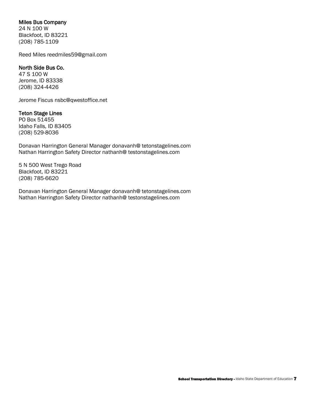#### Miles Bus Company

24 N 100 W Blackfoot, ID 83221 (208) 785-1109

Reed Miles reedmiles59@gmail.com<br>**North Side Bus Co.** 

47 S 100 W Jerome, ID 83338 (208) 324-4426

Jerome Fiscu[s nsbc@qwestoffice.net](mailto:nsbc@qwestoffice.net) 

#### Teton Stage Lines

PO Box 51455 Idaho Falls, ID 83405 (208) 529-8036

Donavan Harrington General Manager donavanh@ [tetonstagelines.com](https://tetonstagelines.com) Nathan Harrington Safety Director nathanh@ [testonstagelines.com](https://testonstagelines.com)

5 N 500 West Trego Road Blackfoot, ID 83221 (208) 785-6620

Donavan Harrington General Manager donavanh@ [tetonstagelines.com](https://tetonstagelines.com) Nathan Harrington Safety Director nathanh@ [testonstagelines.com](https://testonstagelines.com)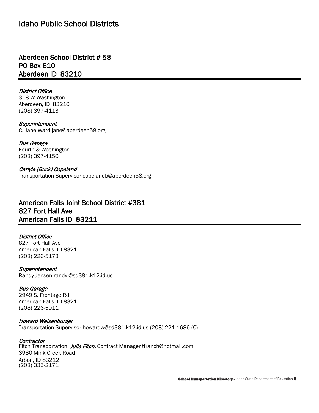## <span id="page-7-0"></span>Idaho Public School Districts

Aberdeen School District # 58 PO Box 610 Aberdeen ID 83210

 Aberdeen, ID 83210 District Office 318 W Washington (208) 397-4113

**Superintendent** C. Jane Ward [jane@aberdeen58.org](mailto:jane@aberdeen58.org) 

Bus Garage Fourth & Washington (208) 397-4150

Carlyle (Buck) Copeland Transportation Superviso[r copelandb@aberdeen58.org](mailto:copelandb@aberdeen58.org) 

## American Falls Joint School District #381 827 Fort Hall Ave American Falls ID 83211

#### District Office

827 Fort Hall Ave American Falls, ID 83211 (208) 226-5173

**Superintendent** Randy Jensen [randyj@sd381.k12.id.us](mailto:randyj@sd381.k12.id.us) 

#### Bus Garage

2949 S. Frontage Rd. American Falls, ID 83211 (208) 226-5911

 Howard Weisenburger Transportation Superviso[r howardw@sd381.k12.id.us](mailto:howardw@sd381.k12.id.us) (208) 221-1686 (C)

#### **Contractor**

Fitch Transportation, *Julie Fitch,* Contract Manager tfranch@hotmail.com<br>3980 Mink Creek Road Arbon, ID 83212 (208) 335-2171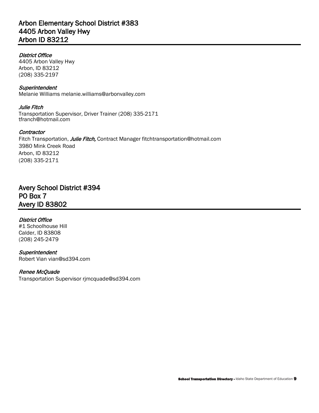## Arbon Elementary School District #383 4405 Arbon Valley Hwy Arbon ID 83212

#### District Office

4405 Arbon Valley Hwy Arbon, ID 83212 (208) 335-2197

**Superintendent** Melanie William[s melanie.williams@arbonvalley.com](mailto:melanie.williams@arbonvalley.com) 

Julie Fitch Transportation Supervisor, Driver Trainer (208) 335-2171 [tfranch@hotmail.com](mailto:tfranch@hotmail.com) 

#### **Contractor**

Fitch Transportation, Julie Fitch, Contract Manager fitchtransportation@hotmail.com 3980 Mink Creek Road Arbon, ID 83212 (208) 335-2171

## Avery School District #394 PO Box 7 Avery ID 83802

#### District Office

#1 Schoolhouse Hill Calder, ID 83808 (208) 245-2479

**Superintendent** Robert Vian [vian@sd394.com](mailto:vian@sd394.com) 

#### Renee McQuade

Transportation Superviso[r rjmcquade@sd394.com](mailto:rjmcquade@sd394.com)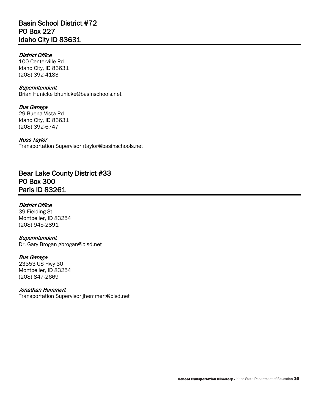## Basin School District #72 PO Box 227 Idaho City ID 83631

#### District Office

100 Centerville Rd Idaho City, ID 83631 (208) 392-4183

#### **Superintendent**

Brian Hunicke [bhunicke@basinschools.net](mailto:bhunicke@basinschools.net) 

#### Bus Garage

29 Buena Vista Rd Idaho City, ID 83631 (208) 392-6747

#### Russ Taylor

Transportation Superviso[r rtaylor@basinschools.net](mailto:rtaylor@basinschools.net) 

## Bear Lake County District #33 PO Box 300 Paris ID 83261

#### District Office

39 Fielding St Montpelier, ID 83254 (208) 945-2891

#### **Superintendent**

Dr. Gary Brogan [gbrogan@blsd.net](mailto:gbrogan@blsd.net) 

#### Bus Garage

23353 US Hwy 30 Montpelier, ID 83254 (208) 847-2669

#### Jonathan Hemmert

Transportation Superviso[r jhemmert@blsd.net](mailto:jhemmert@blsd.net)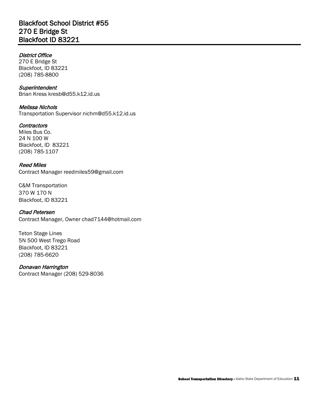#### District Office

270 E Bridge St Blackfoot, ID 83221 (208) 785-8800

#### **Superintendent**

Brian Kress [kresb@d55.k12.id.us](mailto:kresb@d55.k12.id.us) 

#### Melissa Nichols

Transportation Superviso[r nichm@d55.k12.id.us](mailto:nichm@d55.k12.id.us) 

#### **Contractors**

Miles Bus Co. 24 N 100 W Blackfoot, ID 83221 (208) 785-1107

#### Reed Miles

Contract Manager [reedmiles59@gmail.com](mailto:reedmiles59@gmail.com) 

 C&M Transportation 370 W 170 N Blackfoot, ID 83221

#### Chad Petersen

Contract Manager, Owner [chad7144@hotmail.com](mailto:chad7144@hotmail.com) 

Teton Stage Lines 5N 500 West Trego Road Blackfoot, ID 83221 (208) 785-6620

#### Donavan Harrington

Contract Manager (208) 529-8036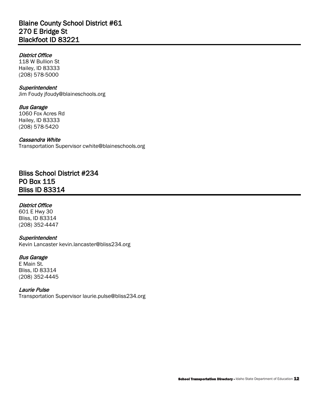## Blaine County School District #61 270 E Bridge St Blackfoot ID 83221

#### District Office

 118 W Bullion St Hailey, ID 83333 (208) 578-5000

#### **Superintendent**

Jim Foudy [jfoudy@blaineschools.org](mailto:jfoudy@blaineschools.org)

#### Bus Garage

1060 Fox Acres Rd Hailey, ID 83333 (208) 578-5420

#### Cassandra White

Transportation Superviso[r cwhite@blaineschools.org](mailto:cwhite@blaineschools.org) 

## Bliss School District #234 PO Box 115 Bliss ID 83314

#### District Office

601 E Hwy 30 Bliss, ID 83314 (208) 352-4447

#### **Superintendent**

Kevin Lancaster [kevin.lancaster@bliss234.org](mailto:kevin.lancaster@bliss234.org)

#### Bus Garage

E Main St. Bliss, ID 83314 (208) 352-4445

#### Laurie Pulse

Transportation Superviso[r laurie.pulse@bliss234.org](mailto:laurie.pulse@bliss234.org)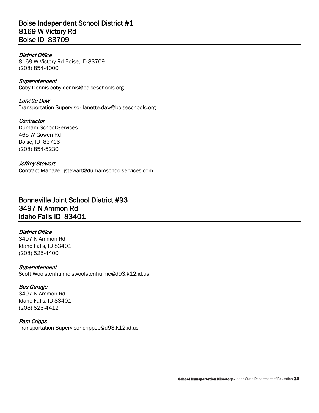## Boise Independent School District #1 8169 W Victory Rd Boise ID 83709

#### District Office

8169 W Victory Rd Boise, ID 83709 (208) 854-4000

**Superintendent** Coby Dennis [coby.dennis@boises](mailto:coby.dennis@boise)chools.org

#### Lanette Daw

Transportation Supervisor [lanette.daw@boiseschools.org](mailto:lanette.daw@boiseschools.org)

**Contractor** Durham School Services 465 W Gowen Rd Boise, ID 83716 (208) 854-5230

#### Jeffrey Stewart

Contract Manager [jstewart@durhamschoolservices.com](mailto:jstewart@durhamschoolservices.com) 

## Bonneville Joint School District #93 3497 N Ammon Rd Idaho Falls ID 83401

#### District Office

3497 N Ammon Rd Idaho Falls, ID 83401 (208) 525-4400

#### **Superintendent**

Scott Woolstenhulme [swoolstenhulme@d93.k12.id.us](mailto:swoolstenhulme@d93.k12.id.us) 

#### Bus Garage

3497 N Ammon Rd Idaho Falls, ID 83401 (208) 525-4412

#### Pam Cripps

Transportation Superviso[r crippsp@d93.k12.id.us](mailto:crippsp@d93.k12.id.us)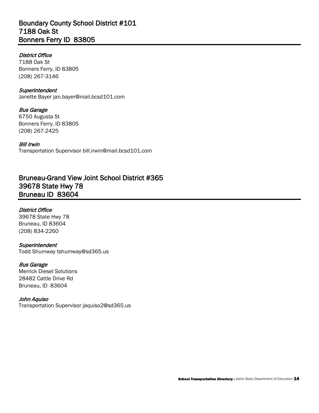## Boundary County School District #101 7188 Oak St Bonners Ferry ID 83805

#### District Office

7188 Oak St Bonners Ferry, ID 83805 (208) 267-3146

#### **Superintendent**

Janette Bayer [jan.bayer@mail.bcsd101.com](mailto:jan.bayer@mail.bcsd101.com) 

#### Bus Garage

6750 Augusta St Bonners Ferry, ID 83805 (208) 267-2425

#### Bill Irwin

Transportation Superviso[r bill.irwin@mail.bcsd101.com](mailto:bill.irwin@mail.bcsd101.com) 

## Bruneau-Grand View Joint School District #365 39678 State Hwy 78 Bruneau ID 83604

#### District Office

39678 State Hwy 78 Bruneau, ID 83604 (208) 834-2260

#### **Superintendent**

Todd Shumway [tshumway@sd365.us](mailto:tshumway@sd365.us) 

#### Bus Garage

 Bruneau, ID 83604 Merrick Diesel Solutions 28482 Cattle Drive Rd

#### John Aquiso

Transportation Superviso[r jaquiso2@sd365.us](mailto:jaquiso2@sd365.us)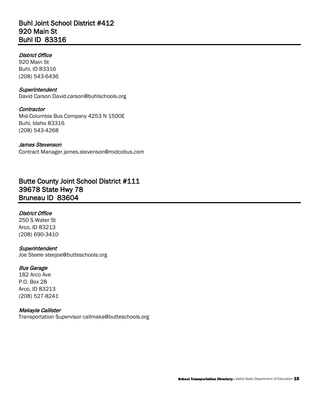## Buhl Joint School District #412 920 Main St Buhl ID 83316

#### District Office

920 Main St Buhl, ID 83316 (208) 543-6436

#### **Superintendent**

David Carson [David.carson@buhlschools.org](mailto:David.carson@buhlschools.org)

#### **Contractor**

Mid-Columbia Bus Company 4253 N 1500E Buhl, Idaho 83316 (208) 543-4268

#### James Stevenson

Contract Manager [james.stevenson@midcobus.com](mailto:james.stevenson@midcobus.com) 

## Butte County Joint School District #111 39678 State Hwy 78 Bruneau ID 83604

#### District Office

250 S Water St Arco, ID 83213 (208) 690-3410

#### **Superintendent**

Joe Steele [steejoe@butteschools.org](mailto:steejoe@butteschools.org) 

#### Bus Garage

182 Arco Ave P.O. Box 28 Arco, ID 83213 (208) 527-8241

#### Makayla Callister

Transportation Superviso[r callmaka@butteschools.org](mailto:callmaka@butteschools.org)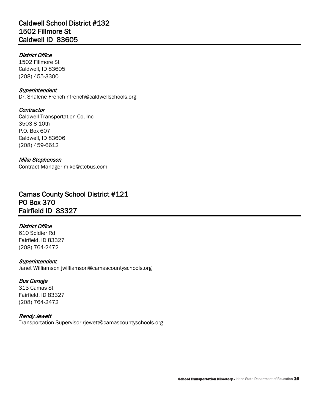## Caldwell School District #132 1502 Fillmore St Caldwell ID 83605

#### District Office

1502 Fillmore St Caldwell, ID 83605 (208) 455-3300

#### **Superintendent**

Dr. Shalene French [nfrench@caldwellschools.org](mailto:nfrench@caldwellschools.org) 

#### **Contractor**

Caldwell Transportation Co, Inc 3503 S 10th P.O. Box 607 Caldwell, ID 83606 (208) 459-6612

#### Mike Stephenson

Contract Manager mike@ctcbus.com

## Camas County School District #121 PO Box 370 Fairfield ID 83327

### District Office

610 Soldier Rd Fairfield, ID 83327 (208) 764-2472

#### **Superintendent**

Janet Williamson [jwilliamson@camascountyschools.org](mailto:jwilliamson@camascountyschools.org)

#### Bus Garage

313 Camas St Fairfield, ID 83327 (208) 764-2472

#### Randy Jewett

Transportation Superviso[r rjewett@camascountyschools.org](mailto:rjewett@camascountyschools.org)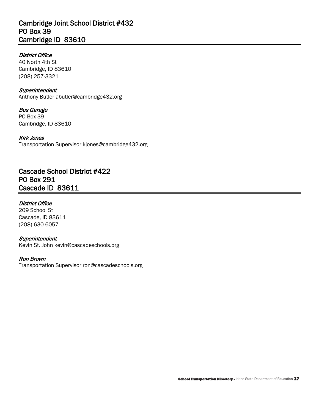## Cambridge Joint School District #432 PO Box 39 Cambridge ID 83610

#### District Office

40 North 4th St Cambridge, ID 83610 (208) 257-3321

#### **Superintendent**

Anthony Butler [abutler@cambridge432.org](mailto:abutler@cambridge432.org) 

#### Bus Garage

PO Box 39 Cambridge, ID 83610

#### Kirk Jones

Transportation Superviso[r kjones@cambridge432.org](mailto:kjones@cambridge432.org) 

## Cascade School District #422 PO Box 291 Cascade ID 83611

#### District Office

209 School St Cascade, ID 83611 (208) 630-6057

#### **Superintendent**

Kevin St. John [kevin@cascadeschools.org](mailto:kevin@cascadeschools.org) 

#### Ron Brown

Transportation Superviso[r ron@cascadeschools.org](mailto:ron@cascadeschools.org)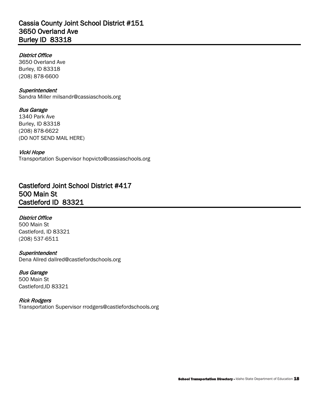## Cassia County Joint School District #151 3650 Overland Ave Burley ID 83318

#### District Office

3650 Overland Ave Burley, ID 83318 (208) 878-6600

## **Superintendent**

Sandra Miller [milsandr@cassiaschools.org](mailto:milsandr@cassiaschools.org) 

## Bus Garage

1340 Park Ave Burley, ID 83318 (208) 878-6622 (DO NOT SEND MAIL HERE)

#### Vicki Hope

Transportation Superviso[r hopvicto@cassiaschools.org](mailto:hopvicto@cassiaschools.org) 

## Castleford Joint School District #417 500 Main St Castleford ID 83321

### District Office

500 Main St Castleford, ID 83321 (208) 537-6511

#### **Superintendent**

Dena Allred [dallred@castlefordschools.org](mailto:dallred@castlefordschools.org) 

#### Bus Garage

500 Main St Castleford,ID 83321

#### Rick Rodgers

Transportation Superviso[r rrodgers@castlefordschools.org](mailto:rrodgers@castlefordschools.org)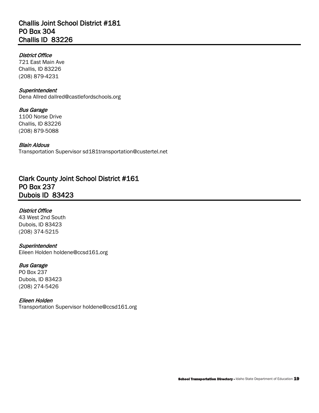## Challis Joint School District #181 PO Box 304 Challis ID 83226

#### District Office

721 East Main Ave Challis, ID 83226 (208) 879-4231

#### **Superintendent**

Dena Allred [dallred@castlefordschools.org](mailto:dallred@castlefordschools.org) 

#### Bus Garage

1100 Norse Drive Challis, ID 83226 (208) 879-5088

#### Blain Aldous

Transportation Superviso[r sd181transportation@custertel.net](mailto:sd181transportation@custertel.net) 

## Clark County Joint School District #161 PO Box 237 Dubois ID 83423

#### District Office

 43 West 2nd South Dubois, ID 83423 (208) 374-5215

#### **Superintendent**

Eileen Holden [holdene@ccsd161.org](mailto:holdene@ccsd161.org) 

#### Bus Garage

PO Box 237 Dubois, ID 83423 (208) 274-5426

#### Eileen Holden

Transportation Superviso[r holdene@ccsd161.org](mailto:holdene@ccsd161.org)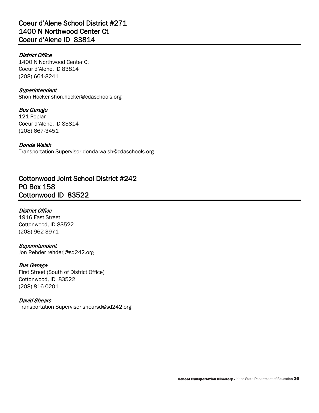## Coeur d'Alene School District #271 1400 N Northwood Center Ct Coeur d'Alene ID 83814

#### District Office

1400 N Northwood Center Ct Coeur d'Alene, ID 83814 (208) 664-8241

## **Superintendent**

Shon Hocker [shon.hocker@cdaschools.org](mailto:shon.hocker@cdaschools.org)

#### Bus Garage 121 Poplar Coeur d'Alene, ID 83814 (208) 667-3451

 Transportation Superviso[r donda.walsh@cdaschools.org](mailto:donda.walsh@cdaschools.org)  Donda Walsh

## Cottonwood Joint School District #242 PO Box 158 Cottonwood ID 83522

### District Office

1916 East Street Cottonwood, ID 83522 (208) 962-3971

#### **Superintendent**

Jon Rehder [rehderj@sd242.org](mailto:rehderj@sd242.org)

#### Bus Garage

First Street (South of District Office) Cottonwood, ID 83522 (208) 816-0201

#### David Shears

Transportation Superviso[r shearsd@sd242.org](mailto:shearsd@sd242.org)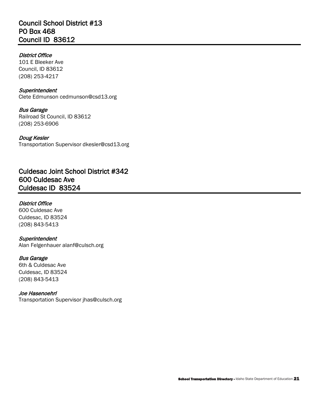## Council School District #13 PO Box 468 Council ID 83612

#### District Office

101 E Bleeker Ave Council, ID 83612 (208) 253-4217

#### **Superintendent**

Clete Edmunson [cedmunson@csd13.org](mailto:cedmunson@csd13.org)

Bus Garage Railroad St Council, ID 83612 (208) 253-6906

#### Doug Kesler

Transportation Superviso[r dkesler@csd13.org](mailto:dkesler@csd13.org) 

## Culdesac Joint School District #342 600 Culdesac Ave Culdesac ID 83524

#### District Office

600 Culdesac Ave Culdesac, ID 83524 (208) 843-5413

#### **Superintendent**

Alan Felgenhauer [alanf@culsch.org](mailto:alanf@culsch.org) 

#### Bus Garage

6th & Culdesac Ave Culdesac, ID 83524 (208) 843-5413

#### Joe Hasenoehrl

Transportation Superviso[r jhas@culsch.org](mailto:jhas@culsch.org)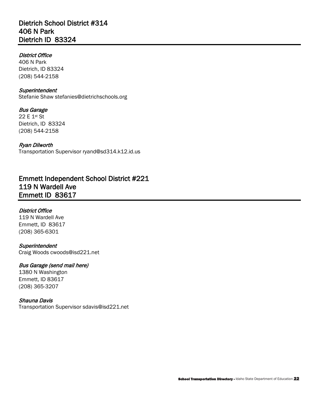## Dietrich School District #314 406 N Park Dietrich ID 83324

#### District Office

406 N Park Dietrich, ID 83324 (208) 544-2158

#### **Superintendent**

Stefanie Shaw [stefanies@dietrichschools.org](mailto:stefanies@dietrichschools.org)

# Bus Garage

 22 E 1st St Dietrich, ID 83324 (208) 544-2158

#### Ryan Dilworth

Transportation Superviso[r ryand@sd314.k12.id.us](mailto:ryand@sd314.k12.id.us) 

## Emmett Independent School District #221 119 N Wardell Ave Emmett ID 83617

#### District Office

119 N Wardell Ave Emmett, ID 83617 (208) 365-6301

#### **Superintendent**

Craig Woods [cwoods@isd221.net](mailto:cwoods@isd221.net) 

#### Bus Garage (send mail here)

1380 N Washington Emmett, ID 83617 (208) 365-3207

#### Shauna Davis

Transportation Superviso[r sdavis@isd221.net](mailto:sdavis@isd221.net)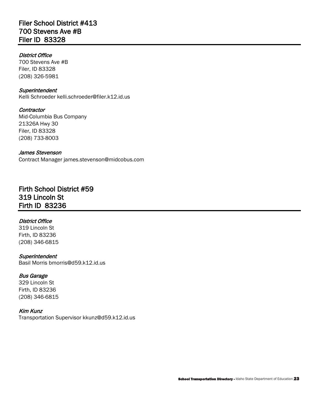## Filer School District #413 700 Stevens Ave #B Filer ID 83328

#### District Office

700 Stevens Ave #B Filer, ID 83328 (208) 326-5981

#### **Superintendent**

Kelli Schroeder [kelli.schroeder@filer.k12.id.us](mailto:kelli.schroeder@filer.k12.id.us) 

#### **Contractor** Mid-Columbia Bus Company 21326A Hwy 30 Filer, ID 83328 (208) 733-8003

#### James Stevenson

Contract Manager [james.stevenson@midcobus.com](mailto:james.stevenson@midcobus.com) 

## Firth School District #59 319 Lincoln St Firth ID 83236

#### District Office

 319 Lincoln St Firth, ID 83236 (208) 346-6815

#### **Superintendent**

Basil Morris [bmorris@d59.k12.id.us](mailto:bmorris@d59.k12.id.us)

#### Bus Garage

329 Lincoln St Firth, ID 83236 (208) 346-6815

#### Kim Kunz

Transportation Superviso[r kkunz@d59.k12.id.us](mailto:kkunz@d59.k12.id.us)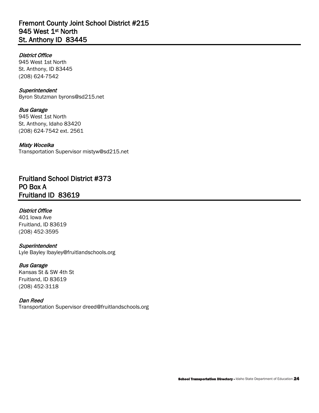## Fremont County Joint School District #215 945 West 1<sup>st</sup> North St. Anthony ID 83445

#### District Office

945 West 1st North St. Anthony, ID 83445 (208) 624-7542

#### **Superintendent**

Byron Stutzman [byrons@sd215.net](mailto:byrons@sd215.net) 

#### Bus Garage

945 West 1st North St. Anthony, Idaho 83420 (208) 624-7542 ext. 2561

#### Misty Wocelka

Transportation Superviso[r mistyw@sd215.net](mailto:mistyw@sd215.net) 

Fruitland School District #373 PO Box A Fruitland ID 83619

#### District Office

401 Iowa Ave Fruitland, ID 83619 (208) 452-3595

#### **Superintendent**

Lyle Bayley [lbayley@fruitlandschools.org](mailto:lbayley@fruitlandschools.org)

#### Bus Garage

Kansas St & SW 4th St Fruitland, ID 83619 (208) 452-3118

#### Dan Reed

Transportation Superviso[r dreed@fruitlandschools.org](mailto:dreed@fruitlandschools.org)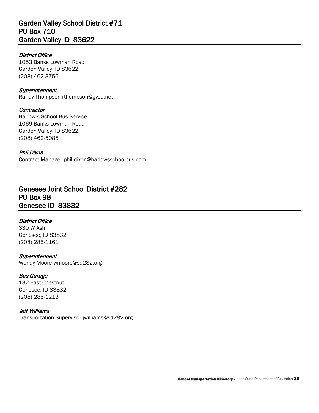## Garden Valley School District #71 PO Box 710 Garden Valley ID 83622

#### District Office

1053 Banks Lowman Road Garden Valley, ID 83622 (208) 462-3756

## **Superintendent**

Randy Thompson [rthompson@gvsd.net](mailto:rthompson@gvsd.net) 

#### **Contractor**

Harlow's School Bus Service 1069 Banks Lowman Road Garden Valley, ID 83622 (208) 462-5085

#### Phil Dixon

Contract Manager [phil.dixon@harlowsschoolbus.com](mailto:phil.dixon@harlowsschoolbus.com) 

## Genesee Joint School District #282 PO Box 98 Genesee ID 83832

#### District Office

330 W Ash Genesee, ID 83832 (208) 285-1161

#### **Superintendent**

Wendy Moore [wmoore@sd282.org](mailto:wmoore@sd282.org) 

#### Bus Garage

 132 East Chestnut Genesee, ID 83832 (208) 285-1213

### Jeff Williams

Transportation Superviso[r jwilliams@sd282.org](mailto:jwilliams@sd282.org)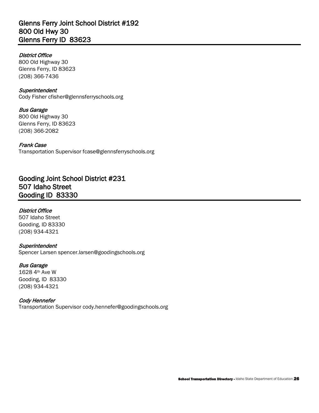## Glenns Ferry Joint School District #192 800 Old Hwy 30 Glenns Ferry ID 83623

#### District Office

800 Old Highway 30 Glenns Ferry, ID 83623 (208) 366-7436

## **Superintendent**

Cody Fisher [cfisher@glennsferryschools.org](mailto:cfisher@glennsferryschools.org)

## Bus Garage

800 Old Highway 30 Glenns Ferry, ID 83623 (208) 366-2082

#### Frank Case

Transportation Superviso[r fcase@glennsferryschools.org](mailto:fcase@glennsferryschools.org) 

## Gooding Joint School District #231 507 Idaho Street Gooding ID 83330

### District Office

507 Idaho Street Gooding, ID 83330 (208) 934-4321

#### **Superintendent**

Spencer Larsen [spencer.larsen@goodingschools.org](mailto:spencer.larsen@goodingschools.org) 

#### Bus Garage

 1628 4th Ave W Gooding, ID 83330 (208) 934-4321

#### Cody Hennefer

Transportation Superviso[r cody.hennefer@goodingschools.org](mailto:cody.hennefer@goodingschools.org)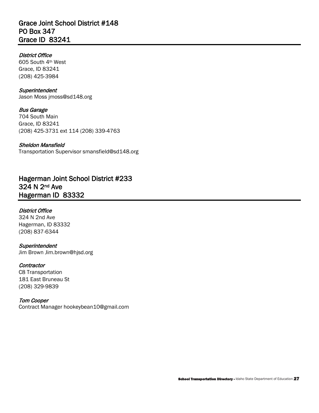## Grace Joint School District #148 PO Box 347 Grace ID 83241

#### District Office

 605 South 4th West Grace, ID 83241 (208) 425-3984

#### **Superintendent**

Jason Moss [jmoss@sd148.org](mailto:jmoss@sd148.org) 

Bus Garage 704 South Main Grace, ID 83241 (208) 425-3731 ext 114 (208) 339-4763

 Transportation Superviso[r smansfield@sd148.org](mailto:smansfield@sd148.org)  Sheldon Mansfield

Hagerman Joint School District #233 324 N 2nd Ave Hagerman ID 83332

#### District Office

324 N 2nd Ave Hagerman, ID 83332 (208) 837-6344

#### **Superintendent**

Jim Brown [Jim.brown@hjsd.org](mailto:Jim.brown@hjsd.org)

#### **Contractor**

181 East Bruneau St<br>(208) 329-9839 C8 Transportation

#### Tom Cooper

Contract Manager [hookeybean10@gmail.com](mailto:hookeybean10@gmail.com)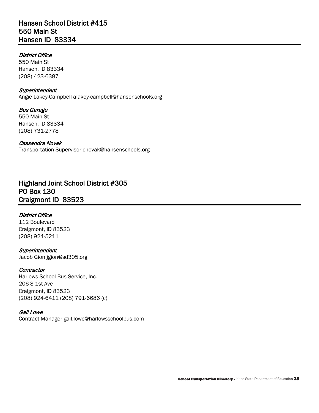## Hansen School District #415 550 Main St Hansen ID 83334

#### District Office

550 Main St Hansen, ID 83334 (208) 423-6387

#### **Superintendent**

Angie Lakey-Campbell [alakey-campbell@hansenschools.org](mailto:alakey-campbell@hansenschools.org)

Bus Garage 550 Main St Hansen, ID 83334 (208) 731-2778

Cassandra Novak Transportation Superviso[r cnovak@hansenschools.org](mailto:cnovak@hansenschools.org) 

## Highland Joint School District #305 PO Box 130 Craigmont ID 83523

#### District Office

112 Boulevard Craigmont, ID 83523 (208) 924-5211

**Superintendent** Jacob Gion [jgion@sd305.org](mailto:jgion@sd305.org) 

#### **Contractor**

Harlows School Bus Service, Inc. 206 S 1st Ave Craigmont, ID 83523 (208) 924-6411 (208) 791-6686 (c)

#### Gail Lowe

Contract Manager [gail.lowe@harlowsschoolbus.com](mailto:gail.lowe@harlowsschoolbus.com)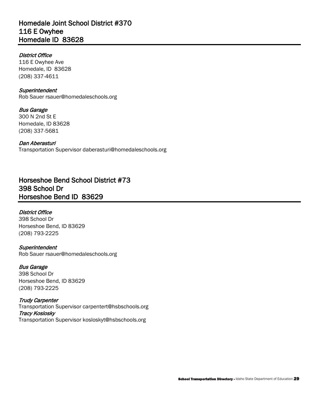## Homedale Joint School District #370 116 E Owyhee Homedale ID 83628

#### District Office

116 E Owyhee Ave Homedale, ID 83628 (208) 337-4611

#### **Superintendent** Rob Sauer [rsauer@homedaleschools.org](mailto:rsauer@homedaleschools.org)

Bus Garage 300 N 2nd St E

Homedale, ID 83628 (208) 337-5681

 Transportation Superviso[r daberasturi@homedaleschools.org](mailto:daberasturi@homedaleschools.org)  Dan Aberasturi

## Horseshoe Bend School District #73 398 School Dr Horseshoe Bend ID 83629

### District Office

398 School Dr Horseshoe Bend, ID 83629 (208) 793-2225

## **Superintendent**

Rob Sauer [rsauer@homedaleschools.org](mailto:rsauer@homedaleschools.org)

Bus Garage 398 School Dr Horseshoe Bend, ID 83629 (208) 793-2225

 Transportation Superviso[r carpentert@hsbschools.org](mailto:carpentert@hsbschools.org)  Transportation Superviso[r kosloskyt@hsbschools.org](mailto:kosloskyt@hsbschools.org)  Trudy Carpenter Tracy Koslosky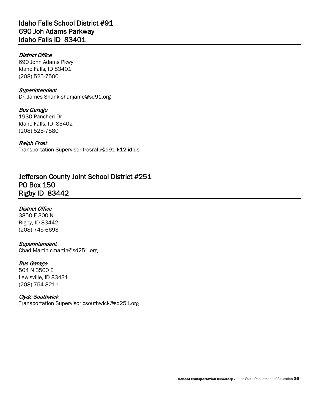#### District Office

690 John Adams Pkwy Idaho Falls, ID 83401 (208) 525-7500

#### **Superintendent**

Dr. James Shank [shanjame@sd91.org](mailto:shanjame@sd91.org) 

#### Bus Garage

 Idaho Falls, ID 83402 1930 Pancheri Dr (208) 525-7580

#### Ralph Frost

Transportation Superviso[r frosralp@d91.k12.id.us](mailto:frosralp@d91.k12.id.us) 

## Jefferson County Joint School District #251 PO Box 150 Rigby ID 83442

#### District Office

3850 E 300 N Rigby, ID 83442 (208) 745-6693

#### **Superintendent**

Chad Martin [cmartin@sd251.org](mailto:cmartin@sd251.org)

#### Bus Garage

504 N 3500 E Lewisville, ID 83431 (208) 754-8211

#### Clyde Southwick

Transportation Superviso[r csouthwick@sd251.org](mailto:csouthwick@sd251.org)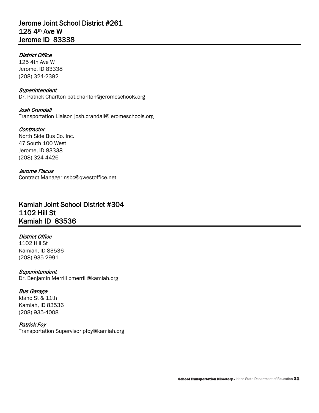## Jerome Joint School District #261 125 4th Ave W Jerome ID 83338

#### District Office

125 4th Ave W Jerome, ID 83338 (208) 324-2392

#### **Superintendent** Dr. Patrick Charlton [pat.charlton@jeromeschools.org](mailto:pat.charlton@jeromeschools.org)

Josh Crandall

Transportation Liaison [josh.crandall@jeromeschools.org](mailto:josh.crandall@jeromeschools.org) 

#### North Side Bus Co. Inc. 47 South 100 West **Contractor** Jerome, ID 83338 (208) 324-4426

Jerome Fiscus Contract Manager [nsbc@qwestoffice.net](mailto:nsbc@qwestoffice.net) 

## Kamiah Joint School District #304 1102 Hill St Kamiah ID 83536

### District Office

1102 Hill St Kamiah, ID 83536 (208) 935-2991

### **Superintendent**

Dr. Benjamin Merrill [bmerrill@kamiah.org](mailto:bmerrill@kamiah.org)

### Bus Garage

Idaho St & 11th Kamiah, ID 83536 (208) 935-4008

#### Patrick Foy

Transportation Superviso[r pfoy@kamiah.org](mailto:pfoy@kamiah.org)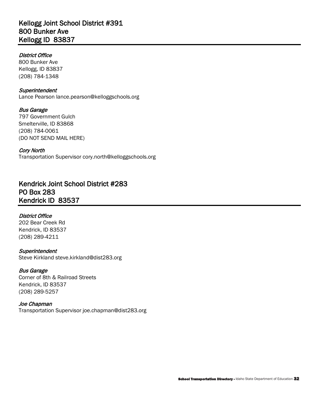## Kellogg Joint School District #391 800 Bunker Ave Kellogg ID 83837

#### District Office

800 Bunker Ave Kellogg, ID 83837 (208) 784-1348

#### **Superintendent**

Lance Pearson [lance.pearson@kelloggschools.org](mailto:lance.pearson@kelloggschools.org)

### Bus Garage

797 Government Gulch Smelterville, ID 83868 (208) 784-0061 (DO NOT SEND MAIL HERE)

#### Cory North

Transportation Superviso[r cory.north@kelloggschools.org](mailto:cory.north@kelloggschools.org) 

## Kendrick Joint School District #283 PO Box 283 Kendrick ID 83537

#### District Office

202 Bear Creek Rd Kendrick, ID 83537 (208) 289-4211

#### **Superintendent**

Steve Kirkland [steve.kirkland@dist283.org](mailto:steve.kirkland@dist283.org) 

#### Bus Garage

Corner of 8th & Railroad Streets Kendrick, ID 83537 (208) 289-5257

#### Joe Chapman

Transportation Superviso[r joe.chapman@dist283.org](mailto:joe.chapman@dist283.org)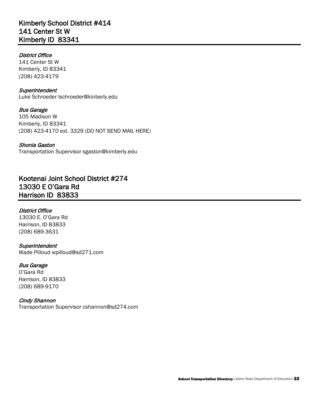## Kimberly School District #414 141 Center St W Kimberly ID 83341

#### District Office

141 Center St W Kimberly, ID 83341 (208) 423-4179

#### **Superintendent**

Luke Schroeder [lschroeder@kinberly.edu](mailto:lschroeder@kinberly.edu) 

#### Bus Garage 105 Madison W Kimberly, ID 83341

(208) 423-4170 ext. 3329 (DO NOT SEND MAIL HERE)

#### Shonia Gaston

Transportation Superviso[r sgaston@kimberly.edu](mailto:sgaston@kimberly.edu) 

## Kootenai Joint School District #274 13030 E O'Gara Rd Harrison ID 83833

#### District Office

13030 E. O'Gara Rd Harrison, ID 83833 (208) 689-3631

#### **Superintendent**

Wade Pilloud [wpilloud@sd271.com](mailto:wpilloud@sd271.com) 

#### Bus Garage

O'Gara Rd Harrison, ID 83833 (208) 689-9170

#### Cindy Shannon

Transportation Superviso[r cshannon@sd274.com](mailto:cshannon@sd274.com)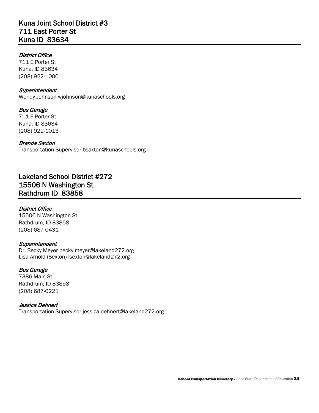## Kuna Joint School District #3 711 East Porter St Kuna ID 83634

#### District Office

711 E Porter St Kuna, ID 83634 (208) 922-1000

#### **Superintendent**

Wendy Johnson [wjohnson@kunaschools.org](mailto:wjohnson@kunaschools.org) 

#### Bus Garage

711 E Porter St Kuna, ID 83634 (208) 922-1013

#### Brenda Saxton

Transportation Superviso[r bsaxton@kunaschools.org](mailto:bsaxton@kunaschools.org) 

## Lakeland School District #272 15506 N Washington St Rathdrum ID 83858

#### District Office

15506 N Washington St Rathdrum, ID 83858 (208) 687-0431

#### **Superintendent**

Dr. Becky Meyer becky.meyer@lakeland272.org Lisa Arnold (Sexton) [lsexton@lakeland272.org](mailto:lsexton@lakeland272.org) 

### Bus Garage

7386 Main St Rathdrum, ID 83858 (208) 687-0221

#### Jessica Dehnert

Transportation Superviso[r jessica.dehnert@lakeland272.org](mailto:jessica.dehnert@lakeland272.org)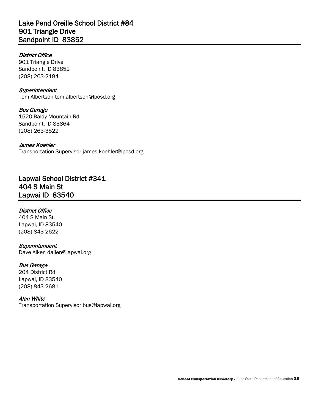## Lake Pend Oreille School District #84 901 Triangle Drive Sandpoint ID 83852

#### District Office

901 Triangle Drive Sandpoint, ID 83852 (208) 263-2184

#### **Superintendent** Tom Albertson [tom.albertson@lposd.org](mailto:tom.albertson@lposd.org)

Bus Garage 1520 Baldy Mountain Rd Sandpoint, ID 83864 (208) 263-3522

#### James Koehler Transportation Superviso[r james.koehler@lposd.org](mailto:james.koehler@lposd.org)

Lapwai School District #341 404 S Main St Lapwai ID 83540

### District Office

404 S Main St. Lapwai, ID 83540 (208) 843-2622

#### **Superintendent**

Dave Aiken [dailen@lapwai.org](mailto:dailen@lapwai.org) 

#### Bus Garage

204 District Rd Lapwai, ID 83540 (208) 843-2681

#### Alan White

Transportation Superviso[r bus@lapwai.org](mailto:bus@lapwai.org)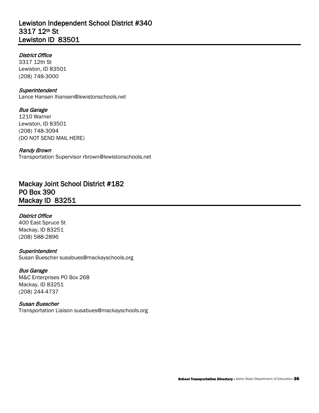## Lewiston Independent School District #340 3317 12th St Lewiston ID 83501

#### District Office

3317 12th St Lewiston, ID 83501 (208) 748-3000

#### **Superintendent**

Lance Hansen [lhansen@lewistonschools.net](mailto:lhansen@lewistonschools.net) 

#### Bus Garage

1210 Warner Lewiston, ID 83501 (208) 748-3094 (DO NOT SEND MAIL HERE)

#### Randy Brown

Transportation Superviso[r rbrown@lewistonschools.net](mailto:rbrown@lewistonschools.net) 

## Mackay Joint School District #182 PO Box 390 Mackay ID 83251

#### District Office

 400 East Spruce St Mackay, ID 83251 (208) 588-2896

#### **Superintendent**

Susan Buescher [susabues@mackayschools.org](mailto:susabues@mackayschools.org)

#### Bus Garage

M&C Enterprises PO Box 268 Mackay, ID 83251 (208) 244-4737

#### Susan Buescher

Transportation Liaison [susabues@mackayschools.org](mailto:susabues@mackayschools.org)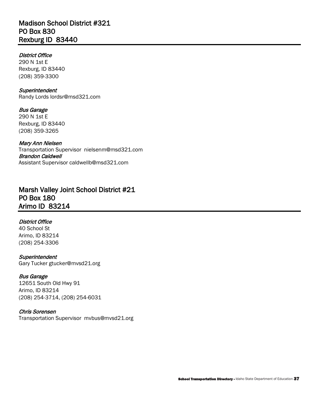# Madison School District #321 PO Box 830 Rexburg ID 83440

# District Office

290 N 1st E Rexburg, ID 83440 (208) 359-3300

## **Superintendent**

Randy Lords [lordsr@msd321.com](mailto:lordsr@msd321.com) 

Bus Garage 290 N 1st E Rexburg, ID 83440 (208) 359-3265

## Mary Ann Nielsen

Transportation Supervisor [nielsenm@msd321.com](mailto:nielsenm@msd321.com)  Brandon Caldwell Assistant Supervisor [caldwellb@msd321.com](mailto:caldwellb@msd321.com) 

# Marsh Valley Joint School District #21 PO Box 180 Arimo ID 83214

# District Office

40 School St Arimo, ID 83214 (208) 254-3306

### **Superintendent**

Gary Tucker [gtucker@mvsd21.org](mailto:gtucker@mvsd21.org)

# Bus Garage

 12651 South Old Hwy 91 Arimo, ID 83214 (208) 254-3714, (208) 254-6031

# Chris Sorensen

Transportation Supervisor [mvbus@mvsd21.org](mailto:mvbus@mvsd21.org)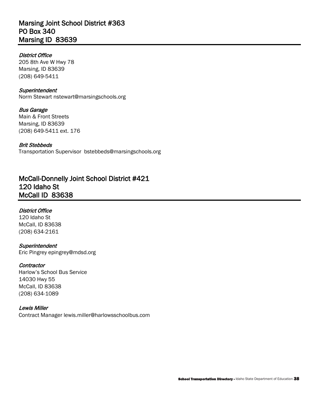# Marsing Joint School District #363 PO Box 340 Marsing ID 83639

# District Office

205 8th Ave W Hwy 78 Marsing, ID 83639 (208) 649-5411

### **Superintendent**

Norm Stewart [nstewart@marsingschools.org](mailto:nstewart@marsingschools.org)

 (208) 649-5411 ext. 176 Bus Garage Main & Front Streets Marsing, ID 83639

### Brit Stebbeds

Transportation Supervisor [bstebbeds@marsingschools.org](mailto:bstebbeds@marsingschools.org) 

# McCall-Donnelly Joint School District #421 120 Idaho St McCall ID 83638

# District Office

120 Idaho St McCall, ID 83638 (208) 634-2161

#### **Superintendent** Eric Pingrey [epingrey@mdsd.org](mailto:epingrey@mdsd.org)

### **Contractor**

Harlow's School Bus Service 14030 Hwy 55 McCall, ID 83638 (208) 634-1089

# Lewis Miller

Contract Manager [lewis.miller@harlowsschoolbus.com](mailto:lewis.miller@harlowsschoolbus.com)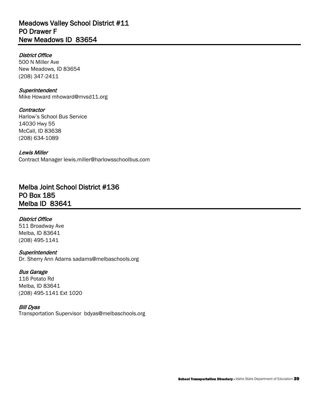# Meadows Valley School District #11 PO Drawer F New Meadows ID 83654

# District Office

500 N Miller Ave New Meadows, ID 83654 (208) 347-2411

## **Superintendent**

Mike Howard [mhoward@mvsd11.org](mailto:mhoward@mvsd11.org) 

# **Contractor**

Harlow's School Bus Service 14030 Hwy 55 McCall, ID 83638 (208) 634-1089

# Lewis Miller

Contract Manager [lewis.miller@harlowsschoolbus.com](mailto:lewis.miller@harlowsschoolbus.com) 

# Melba Joint School District #136 PO Box 185 Melba ID 83641

# District Office

511 Broadway Ave Melba, ID 83641 (208) 495-1141

# **Superintendent**

Dr. Sherry Ann Adams [sadams@melbaschools.org](mailto:sadams@melbaschools.org)

# Bus Garage

 116 Potato Rd Melba, ID 83641 (208) 495-1141 Ext 1020

# Bill Dyas

Transportation Supervisor [bdyas@melbaschools.org](mailto:bdyas@melbaschools.org)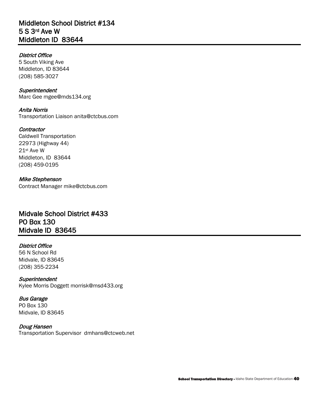# Middleton School District #134 5 S 3rd Ave W Middleton ID 83644

# District Office

5 South Viking Ave Middleton, ID 83644 (208) 585-3027

## **Superintendent**

Marc Gee [mgee@mds134.org](mailto:mgee@mds134.org)

Anita Norris Transportation Liaison [anita@ctcbus.com](mailto:anita@ctcbus.com) 

# **Contractor**

 21st Ave W Caldwell Transportation 22973 (Highway 44) Middleton, ID 83644 (208) 459-0195

# Mike Stephenson

Contract Manager mike@ctcbus.com

# Midvale School District #433 PO Box 130 Midvale ID 83645

# District Office

56 N School Rd Midvale, ID 83645 (208) 355-2234

**Superintendent** Kylee Morris Doggett [morrisk@msd433.org](mailto:morrisk@msd433.org) 

# Bus Garage

PO Box 130 Midvale, ID 83645

# Doug Hansen

Transportation Supervisor [dmhans@ctcweb.net](mailto:dmhans@ctcweb.net)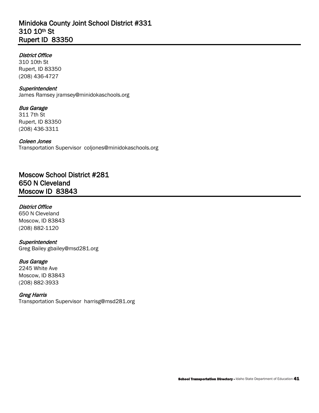# Minidoka County Joint School District #331 310 10th St Rupert ID 83350

# District Office

310 10th St Rupert, ID 83350 (208) 436-4727

## **Superintendent**

James Ramsey [jramsey@minidokaschools.org](mailto:jramsey@minidokaschools.org) 

# Bus Garage

311 7th St Rupert, ID 83350 (208) 436-3311

# Coleen Jones

Transportation Supervisor [coljones@minidokaschools.org](mailto:coljones@minidokaschools.org) 

# Moscow School District #281 650 N Cleveland Moscow ID 83843

## District Office

650 N Cleveland Moscow, ID 83843 (208) 882-1120

### **Superintendent**

Greg Bailey [gbailey@msd281.org](mailto:gbailey@msd281.org) 

# Bus Garage

2245 White Ave Moscow, ID 83843 (208) 882-3933

# Greg Harris

Transportation Supervisor [harrisg@msd281.org](mailto:harrisg@msd281.org)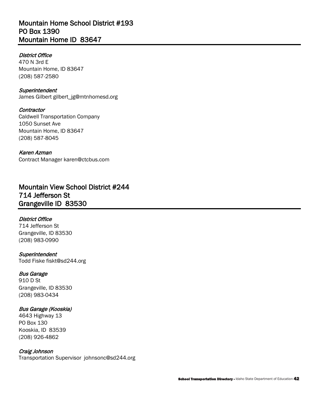# Mountain Home School District #193 PO Box 1390 Mountain Home ID 83647

# District Office

470 N 3rd E Mountain Home, ID 83647 (208) 587-2580

**Superintendent** James Gilbert [gilbert\\_jg@mtnhomesd.org](mailto:gilbert_jg@mtnhomesd.org) 

**Contractor** Caldwell Transportation Company 1050 Sunset Ave Mountain Home, ID 83647 (208) 587-8045

 Contract Manager [karen@ctcbus.com](mailto:karen@ctcbus.com)  Karen Azman

# Mountain View School District #244 714 Jefferson St Grangeville ID 83530

# District Office

714 Jefferson St Grangeville, ID 83530 (208) 983-0990

**Superintendent** Todd Fiske [fiskt@sd244.org](mailto:fiskt@sd244.org) 

# Bus Garage

910 D St Grangeville, ID 83530 (208) 983-0434

# Bus Garage (Kooskia)

 Kooskia, ID 83539 4643 Highway 13 PO Box 130 (208) 926-4862

# Craig Johnson

Transportation Supervisor [johnsonc@sd244.org](mailto:johnsonc@sd244.org)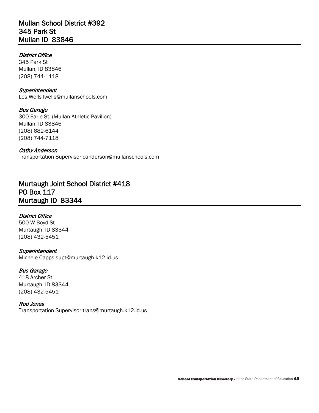# Mullan School District #392 345 Park St Mullan ID 83846

# District Office

345 Park St Mullan, ID 83846 (208) 744-1118

## **Superintendent**

Les Wells [lwells@mullanschools.com](mailto:lwells@mullanschools.com)

# Bus Garage

300 Earle St. (Mullan Athletic Pavilion) Mullan, ID 83846 (208) 682-6144 (208) 744-7118

## Cathy Anderson

Transportation Supervisor [canderson@mullanschools.com](mailto:canderson@mullanschools.com) 

# Murtaugh Joint School District #418 PO Box 117 Murtaugh ID 83344

# District Office

 500 W Boyd St Murtaugh, ID 83344 (208) 432-5451

**Superintendent** Michele Capps [supt@murtaugh.k12.id.us](mailto:supt@murtaugh.k12.id.us) 

# Bus Garage

418 Archer St Murtaugh, ID 83344 (208) 432-5451

### Rod Jones

Transportation Superviso[r trans@murtaugh.k12.id.us](mailto:trans@murtaugh.k12.id.us)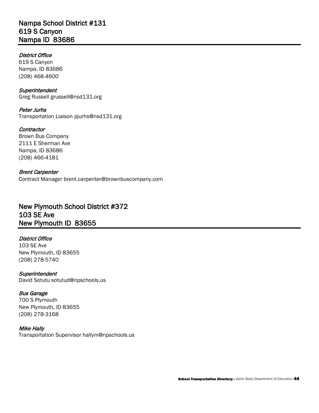# Nampa School District #131 619 S Canyon Nampa ID 83686

# District Office

619 S Canyon Nampa, ID 83686 (208) 468-4600

## **Superintendent**

Greg Russell [grussell@nsd131.org](mailto:grussell@nsd131.org)

Peter Jurhs Transportation Liaison [pjurhs@nsd131.org](mailto:pjurhs@nsd131.org) 

## **Contractor**

 Brown Bus Company 2111 E Sherman Ave Nampa, ID 83686 (208) 466-4181

# Brent Carpenter

Contract Manager [brent.carpenter@brownbuscompany.com](mailto:brent.carpenter@brownbuscompany.com) 

# New Plymouth School District #372 103 SE Ave New Plymouth ID 83655

# District Office

103 SE Ave New Plymouth, ID 83655 (208) 278-5740

# **Superintendent**

David Sotutu [sotutud@npschools.us](mailto:sotutud@npschools.us) 

# Bus Garage

700 S Plymouth New Plymouth, ID 83655 (208) 278-3168

# Mike Hally

Transportation Superviso[r hallym@npschools.us](mailto:hallym@npschools.us)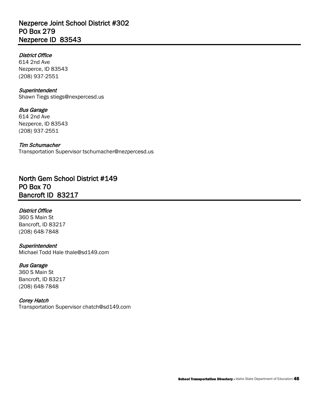# Nezperce Joint School District #302 PO Box 279 Nezperce ID 83543

# District Office

 614 2nd Ave Nezperce, ID 83543 (208) 937-2551

#### **Superintendent**

Shawn Tiegs [stiegs@nexpercesd.us](mailto:stiegs@nexpercesd.us) 

## Bus Garage

 614 2nd Ave Nezperce, ID 83543 (208) 937-2551

Tim Schumacher Transportation Superviso[r tschumacher@nezpercesd.us](mailto:tschumacher@nezpercesd.us) 

North Gem School District #149 PO Box 70 Bancroft ID 83217

### District Office

360 S Main St Bancroft, ID 83217 (208) 648-7848

### **Superintendent**

Michael Todd Hale [thale@sd149.com](mailto:thale@sd149.com) 

### Bus Garage

360 S Main St Bancroft, ID 83217 (208) 648-7848

### Corey Hatch

Transportation Superviso[r chatch@sd149.com](mailto:chatch@sd149.com)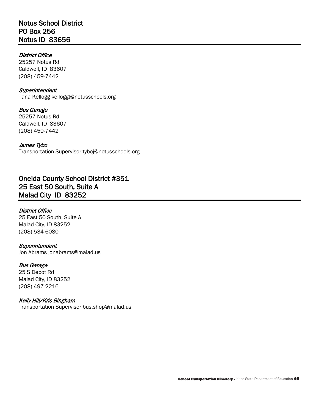# Notus School District PO Box 256 Notus ID 83656

# District Office

 Caldwell, ID 83607 25257 Notus Rd (208) 459-7442

## **Superintendent**

Tana Kellogg [kelloggt@notusschools.org](mailto:kelloggt@notusschools.org) 

 Caldwell, ID 83607 Bus Garage 25257 Notus Rd (208) 459-7442

#### James Tybo Transportation Superviso[r tyboj@notusschools.org](mailto:tyboj@notusschools.org)

Oneida County School District #351 25 East 50 South, Suite A Malad City ID 83252

# District Office

25 East 50 South, Suite A Malad City, ID 83252 (208) 534-6080

# **Superintendent**

Jon Abrams [jonabrams@malad.us](mailto:jonabrams@malad.us)

# Bus Garage

25 S Depot Rd Malad City, ID 83252 (208) 497-2216

# Kelly Hill/Kris Bingham

Transportation Superviso[r bus.shop@malad.us](mailto:bus.shop@malad.us)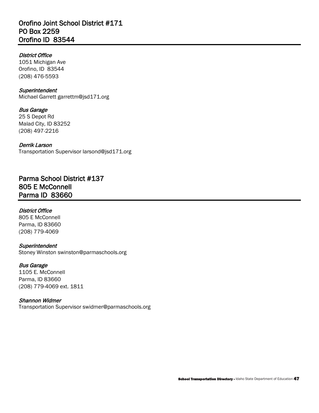# Orofino Joint School District #171 PO Box 2259 Orofino ID 83544

# District Office

1051 Michigan Ave Orofino, ID 83544 (208) 476-5593

## **Superintendent**

Michael Garrett [garrettm@jsd171.org](mailto:garrettm@jsd171.org)

# Bus Garage

25 S Depot Rd Malad City, ID 83252 (208) 497-2216

## Derrik Larson

Transportation Supervisor larsond@jsd171.org<br>**Parma School District #137** 805 E McConnell Parma ID 83660

# District Office

805 E McConnell Parma, ID 83660 (208) 779-4069

# **Superintendent**

Stoney Winston [swinston@parmaschools.org](mailto:swinston@parmaschools.org) 

# Bus Garage

 (208) 779-4069 ext. 1811 1105 E. McConnell Parma, ID 83660

# Shannon Widmer

Transportation Superviso[r swidmer@parmaschools.org](mailto:swidmer@parmaschools.org)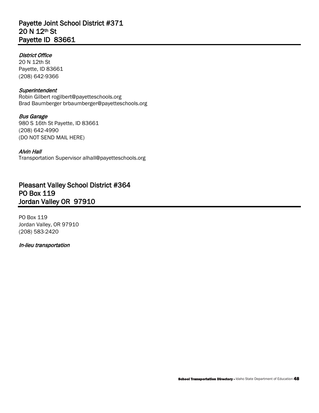# Payette Joint School District #371 20 N 12th St Payette ID 83661

# District Office

20 N 12th St Payette, ID 83661 (208) 642-9366

## **Superintendent**

 Brad Baumberger [brbaumberger@payetteschools.org](mailto:brbaumberger@payetteschools.org) Robin Gilbert [rogilbert@payetteschools.org](mailto:rogilbert@payetteschools.org) 

Bus Garage 980 S 16th St Payette, ID 83661 (208) 642-4990 (DO NOT SEND MAIL HERE)

## Alvin Hall

Transportation Superviso[r alhall@payetteschools.org](mailto:alhall@payetteschools.org) 

# Pleasant Valley School District #364 PO Box 119 Jordan Valley OR 97910

PO Box 119 Jordan Valley, OR 97910 (208) 583-2420

### In-lieu transportation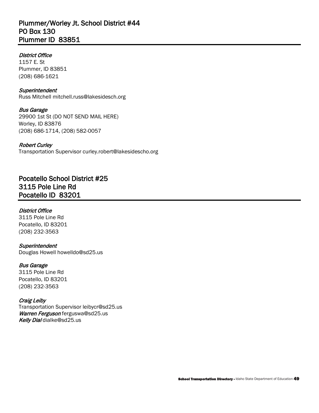# Plummer/Worley Jt. School District #44 PO Box 130 Plummer ID 83851

## District Office

1157 E. St Plummer, ID 83851 (208) 686-1621

### **Superintendent**

Russ Mitchell [mitchell.russ@lakesidesch.org](mailto:mitchell.russ@lakesidesch.org)

## Bus Garage

29900 1st St (DO NOT SEND MAIL HERE) Worley, ID 83876 (208) 686-1714, (208) 582-0057

### Robert Curley

Transportation Superviso[r curley.robert@lakesidescho.org](mailto:curley.robert@lakesidescho.org) 

Pocatello School District #25 3115 Pole Line Rd Pocatello ID 83201

# District Office

3115 Pole Line Rd Pocatello, ID 83201 (208) 232-3563

### **Superintendent**

Douglas Howell [howelldo@sd25.us](mailto:howelldo@sd25.us) 

# Bus Garage

3115 Pole Line Rd Pocatello, ID 83201 (208) 232-3563

### Craig Leiby

*Kelly Dial* dialke@sd25.us Transportation Superviso[r leibycr@sd25.us](mailto:leibycr@sd25.us)  Warren Ferguson ferguswa@sd25.us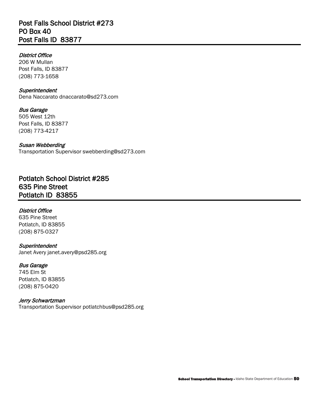# Post Falls School District #273 PO Box 40 Post Falls ID 83877

# District Office

 206 W Mullan Post Falls, ID 83877 (208) 773-1658

### **Superintendent**

Dena Naccarato [dnaccarato@sd273.com](mailto:dnaccarato@sd273.com)

Bus Garage 505 West 12th Post Falls, ID 83877 (208) 773-4217

### Susan Webberding

Transportation Superviso[r swebberding@sd273.com](mailto:swebberding@sd273.com) 

Potlatch School District #285 635 Pine Street Potlatch ID 83855

### District Office

635 Pine Street Potlatch, ID 83855 (208) 875-0327

### **Superintendent**

Janet Avery [janet.avery@psd285.org](mailto:janet.avery@psd285.org)

# Bus Garage

745 Elm St Potlatch, ID 83855 (208) 875-0420

### Jerry Schwartzman

Transportation Superviso[r potlatchbus@psd285.org](mailto:potlatchbus@psd285.org)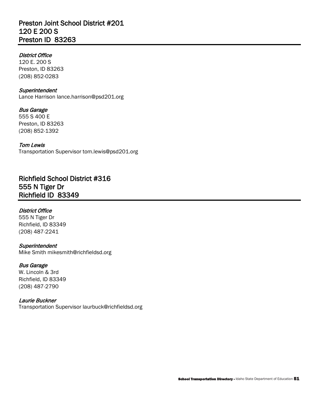# Preston Joint School District #201 120 E 200 S Preston ID 83263

# District Office

120 E. 200 S Preston, ID 83263 (208) 852-0283

### **Superintendent**

Lance Harrison [lance.harrison@psd201.org](mailto:lance.harrison@psd201.org)

# Bus Garage

555 S 400 E Preston, ID 83263 (208) 852-1392

## Tom Lewis

Transportation Superviso[r tom.lewis@psd201.org](mailto:tom.lewis@psd201.org) 

Richfield School District #316 555 N Tiger Dr Richfield ID 83349

# District Office

 555 N Tiger Dr Richfield, ID 83349 (208) 487-2241

# **Superintendent**

Mike Smith [mikesmith@richfieldsd.org](mailto:mikesmith@richfieldsd.org) 

# Bus Garage

W. Lincoln & 3rd Richfield, ID 83349 (208) 487-2790

### Laurie Buckner

Transportation Superviso[r laurbuck@richfieldsd.org](mailto:laurbuck@richfieldsd.org)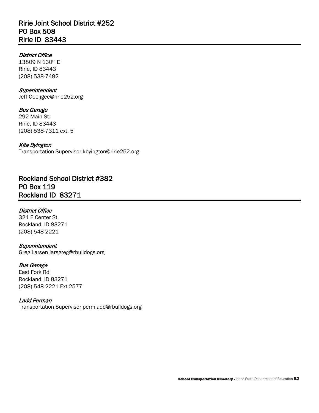# Ririe Joint School District #252 PO Box 508 Ririe ID 83443

# District Office

 13809 N 130th E Ririe, ID 83443 (208) 538-7482

## **Superintendent**

Jeff Gee [jgee@ririe252.org](mailto:jgee@ririe252.org)

# Bus Garage

292 Main St. Ririe, ID 83443 (208) 538-7311 ext. 5

# Kita Byington

Transportation Superviso[r kbyington@ririe252.org](mailto:kbyington@ririe252.org) 

Rockland School District #382 PO Box 119 Rockland ID 83271

# District Office

321 E Center St Rockland, ID 83271 (208) 548-2221

# **Superintendent**

Greg Larsen [larsgreg@rbulldogs.org](mailto:larsgreg@rbulldogs.org) 

# Bus Garage

 (208) 548-2221 Ext 2577 East Fork Rd Rockland, ID 83271

# Ladd Perman

Transportation Superviso[r permladd@rbulldogs.org](mailto:permladd@rbulldogs.org)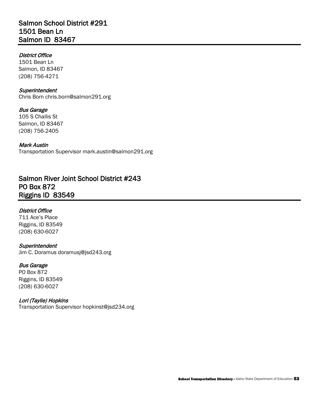# Salmon School District #291 1501 Bean Ln Salmon ID 83467

# District Office

1501 Bean Ln Salmon, ID 83467 (208) 756-4271

### **Superintendent**

Chris Born [chris.born@salmon291.org](mailto:chris.born@salmon291.org) 

### Bus Garage

105 S Challis St Salmon, ID 83467 (208) 756-2405

### Mark Austin

Transportation Superviso[r mark.austin@salmon291.org](mailto:mark.austin@salmon291.org) 

# Salmon River Joint School District #243 PO Box 872 Riggins ID 83549

# District Office

711 Ace's Place Riggins, ID 83549 (208) 630-6027

### **Superintendent**

Jim C. Doramus [doramusj@jsd243.org](mailto:doramusj@jsd243.org) 

# Bus Garage

PO Box 872 Riggins, ID 83549 (208) 630-6027

### Lori (Taylie) Hopkins

Transportation Superviso[r hopkinst@jsd234.org](mailto:hopkinst@jsd234.org)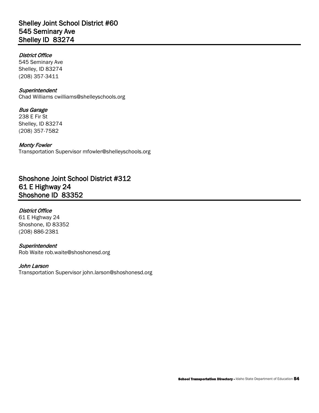# Shelley Joint School District #60 545 Seminary Ave Shelley ID 83274

# District Office

545 Seminary Ave Shelley, ID 83274 (208) 357-3411

### **Superintendent**

Chad Williams [cwilliams@shelleyschools.org](mailto:cwilliams@shelleyschools.org)

# Bus Garage

238 E Fir St Shelley, ID 83274 (208) 357-7582

# Monty Fowler

Transportation Superviso[r mfowler@shelleyschools.org](mailto:mfowler@shelleyschools.org) 

# Shoshone Joint School District #312 61 E Highway 24 Shoshone ID 83352

# District Office

61 E Highway 24 Shoshone, ID 83352 (208) 886-2381

# **Superintendent**

Rob Waite [rob.waite@shoshonesd.org](mailto:rob.waite@shoshonesd.org)

# John Larson

Transportation Superviso[r john.larson@shoshonesd.org](mailto:john.larson@shoshonesd.org)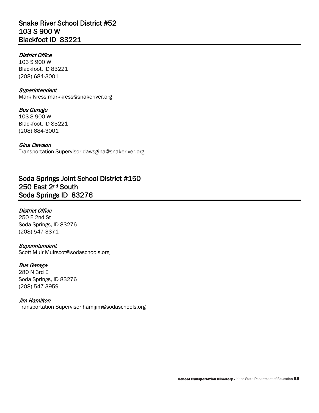# Snake River School District #52 103 S 900 W Blackfoot ID 83221

# District Office

103 S 900 W Blackfoot, ID 83221 (208) 684-3001

## **Superintendent**

Mark Kress [markkress@snakeriver.org](mailto:markkress@snakeriver.org)

#### Bus Garage 103 S 900 W

Blackfoot, ID 83221 (208) 684-3001

# Gina Dawson

Transportation Superviso[r dawsgina@snakeriver.org](mailto:dawsgina@snakeriver.org) 

# Soda Springs Joint School District #150 250 East 2nd South Soda Springs ID 83276

# District Office

250 E 2nd St Soda Springs, ID 83276 (208) 547-3371

# **Superintendent**

Scott Muir [Muirscot@sodaschools.org](mailto:Muirscot@sodaschools.org)

# Bus Garage

280 N 3rd E Soda Springs, ID 83276 (208) 547-3959

# Jim Hamilton

Transportation Superviso[r hamijim@sodaschools.org](mailto:hamijim@sodaschools.org)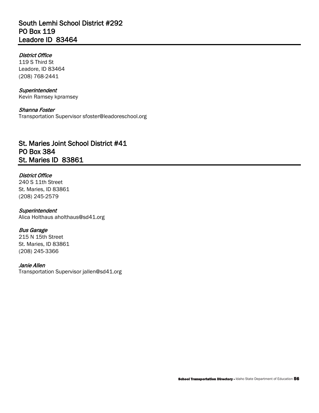# South Lemhi School District #292 PO Box 119 Leadore ID 83464

# District Office

119 S Third St Leadore, ID 83464 (208) 768-2441

# **Superintendent**

Kevin Ramsey kpramsey

# Shanna Foster

Transportation Superviso[r sfoster@leadoreschool.org](mailto:sfoster@leadoreschool.org) 

# St. Maries Joint School District #41 PO Box 384 St. Maries ID 83861

# District Office

240 S 11th Street St. Maries, ID 83861 (208) 245-2579

#### **Superintendent** Alica Holthaus [aholthaus@sd41.org](mailto:aholthaus@sd41.org)

# Bus Garage

215 N 15th Street St. Maries, ID 83861 (208) 245-3366

# Janie Allen

Transportation Superviso[r jallen@sd41.org](mailto:jallen@sd41.org)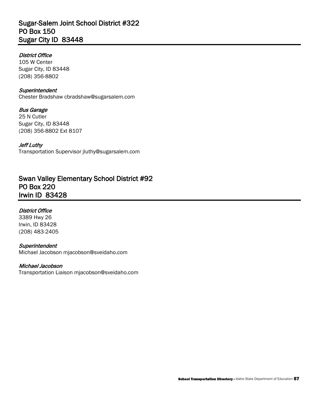# Sugar-Salem Joint School District #322 PO Box 150 Sugar City ID 83448

# District Office

105 W Center Sugar City, ID 83448 (208) 356-8802

## **Superintendent**

Chester Bradshaw [cbradshaw@sugarsalem.com](mailto:cbradshaw@sugarsalem.com)

# Bus Garage

 (208) 356-8802 Ext 8107 25 N Cutler Sugar City, ID 83448

# Jeff Luthy

Transportation Superviso[r jluthy@sugarsalem.com](mailto:jluthy@sugarsalem.com) 

# Swan Valley Elementary School District #92 PO Box 220 Irwin ID 83428

# District Office

3389 Hwy 26 Irwin, ID 83428 (208) 483-2405

# **Superintendent**

Michael Jacobson [mjacobson@sveidaho.com](mailto:mjacobson@sveidaho.com) 

# Michael Jacobson

Transportation Liaison [mjacobson@sveidaho.com](mailto:mjacobson@sveidaho.com)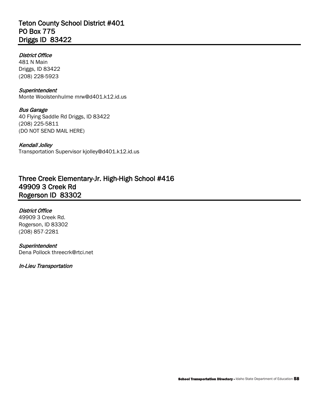# Teton County School District #401 PO Box 775 Driggs ID 83422

# District Office

 481 N Main Driggs, ID 83422 (208) 228-5923

### **Superintendent**

Monte Woolstenhulme [mrw@d401.k12.id.us](mailto:mrw@d401.k12.id.us)

Bus Garage 40 Flying Saddle Rd Driggs, ID 83422 (208) 225-5811 (DO NOT SEND MAIL HERE)

### Kendall Jolley

Transportation Superviso[r kjolley@d401.k12.id.us](mailto:kjolley@d401.k12.id.us) 

Three Creek Elementary-Jr. High-High School #416 49909 3 Creek Rd Rogerson ID 83302

### District Office

 49909 3 Creek Rd. Rogerson, ID 83302<br>(208) 857-2281 (208) 857-2281

### **Superintendent**

Dena Pollock [threecrk@rtci.net](mailto:threecrk@rtci.net) 

### In-Lieu Transportation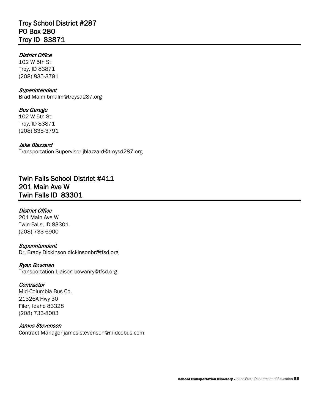# Troy School District #287 PO Box 280 Troy ID 83871

# District Office

102 W 5th St Troy, ID 83871 (208) 835-3791

### **Superintendent**

Brad Malm [bmalm@troysd287.org](mailto:bmalm@troysd287.org)

# Bus Garage

102 W 5th St Troy, ID 83871 (208) 835-3791

# Jake Blazzard

Transportation Supervisor jblazzard@troysd287.org<br>**Twin Falls School District #411** 201 Main Ave W Twin Falls ID 83301

# District Office

201 Main Ave W Twin Falls, ID 83301 (208) 733-6900

#### **Superintendent** Dr. Brady Dickinson [dickinsonbr@tfsd.org](mailto:dickinsonbr@tfsd.org)

Ryan Bowman Transportation Liaison [bowanry@tfsd.org](mailto:bowanry@tfsd.org) 

### **Contractor**

Mid-Columbia Bus Co. 21326A Hwy 30 Filer, Idaho 83328 (208) 733-8003

### James Stevenson

Contract Manager [james.stevenson@midcobus.com](mailto:james.stevenson@midcobus.com)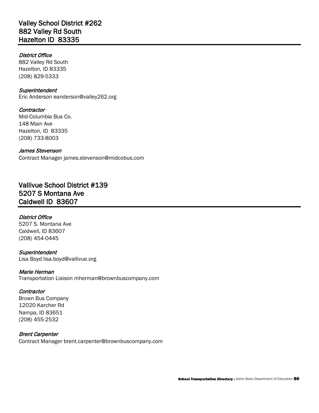# Valley School District #262 882 Valley Rd South Hazelton ID 83335

# District Office

882 Valley Rd South Hazelton, ID 83335 (208) 829-5333

## **Superintendent**

Eric Anderson [eanderson@valley262.org](mailto:eanderson@valley262.org) 

# **Contractor**

Mid-Columbia Bus Co. 148 Main Ave Hazelton, ID 83335 (208) 733-8003

# James Stevenson

Contract Manager [james.stevenson@midcobus.com](mailto:james.stevenson@midcobus.com) 

# Vallivue School District #139 5207 S Montana Ave Caldwell ID 83607

# District Office

5207 S. Montana Ave Caldwell, ID 83607 (208) 454-0445

**Superintendent** Lisa Boyd [lisa.boyd@vallivue.org](mailto:lisa.boyd@vallivue.org) 

### Marie Herman

Transportation Liaison [mherman@brownbuscompany.com](mailto:mherman@brownbuscompany.com) 

# **Contractor**

 Brown Bus Company 12020 Karcher Rd Nampa, ID 83651 (208) 455-2532

# Brent Carpenter

Contract Manager [brent.carpenter@brownbuscompany.com](mailto:brent.carpenter@brownbuscompany.com)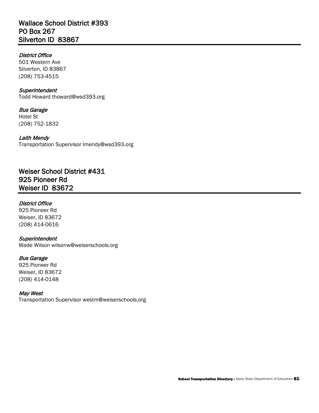# District Office

501 Western Ave Silverton, ID 83867 (208) 753-4515

### **Superintendent**

Todd Howard [thoward@wsd393.org](mailto:thoward@wsd393.org)

Bus Garage Hotel St (208) 752-1832

### Laith Mendy

Transportation Superviso[r lmendy@wsd393.org](mailto:lmendy@wsd393.org) 

 Weiser ID 83672 Weiser School District #431 925 Pioneer Rd

### District Office

925 Pioneer Rd Weiser, ID 83672 (208) 414-0616

## **Superintendent**

Wade Wilson [wilsonw@weiserschools.org](mailto:wilsonw@weiserschools.org)

### Bus Garage

925 Pioneer Rd Weiser, ID 83672 (208) 414-0148

#### May West

Transportation Superviso[r westm@weiserschools.org](mailto:westm@weiserschools.org)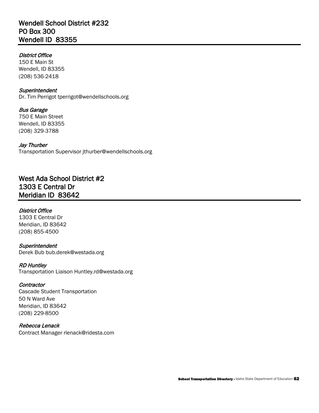# Wendell School District #232 PO Box 300 Wendell ID 83355

# District Office

150 E Main St Wendell, ID 83355 (208) 536-2418

## **Superintendent**

Dr. Tim Perrigot [tperrigot@wendellschools.org](mailto:tperrigot@wendellschools.org) 

#### Bus Garage 750 E Main Street

Wendell, ID 83355 (208) 329-3788

# Jay Thurber

Transportation Superviso[r jthurber@wendellschools.org](mailto:jthurber@wendellschools.org) 

# West Ada School District #2 1303 E Central Dr Meridian ID 83642

# District Office

1303 E Central Dr Meridian, ID 83642 (208) 855-4500

### **Superintendent** Derek Bub [bub.derek@westada.org](mailto:bub.derek@westada.org)

#### RD Huntley Transportation Liaison [Huntley.rd@westada.org](mailto:Huntley.rd@westada.org)

# **Contractor**

Cascade Student Transportation 50 N Ward Ave Meridian, ID 83642 (208) 229-8500

# Rebecca Lenack Contract Manager [rlenack@ridesta.com](mailto:rlenack@ridesta.com)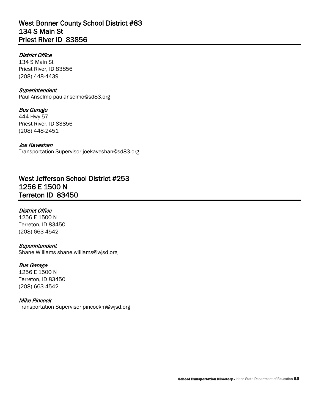# West Bonner County School District #83 134 S Main St Priest River ID 83856

# District Office

134 S Main St Priest River, ID 83856 (208) 448-4439

## **Superintendent**

Paul Anselmo [paulanselmo@sd83.org](mailto:paulanselmo@sd83.org) 

# Bus Garage

444 Hwy 57 Priest River, ID 83856 (208) 448-2451

## Joe Kaveshan

Transportation Superviso[r joekaveshan@sd83.org](mailto:joekaveshan@sd83.org) 

# West Jefferson School District #253 1256 E 1500 N Terreton ID 83450

# District Office

1256 E 1500 N Terreton, ID 83450 (208) 663-4542

# **Superintendent**

Shane Williams [shane.williams@wjsd.org](mailto:shane.williams@wjsd.org)

# Bus Garage

1256 E 1500 N Terreton, ID 83450 (208) 663-4542

# Mike Pincock

Transportation Superviso[r pincockm@wjsd.org](mailto:pincockm@wjsd.org)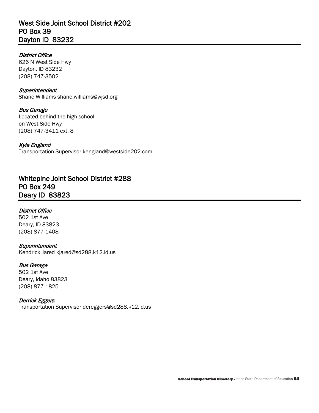# West Side Joint School District #202 PO Box 39 Dayton ID 83232

# District Office

626 N West Side Hwy Dayton, ID 83232 (208) 747-3502

### **Superintendent**

Shane Williams [shane.williams@wjsd.org](mailto:shane.williams@wjsd.org)

# Bus Garage

 Located behind the high school on West Side Hwy (208) 747-3411 ext. 8

## Kyle England

Transportation Superviso[r kengland@westside202.com](mailto:kengland@westside202.com) 

# Whitepine Joint School District #288 PO Box 249 Deary ID 83823

# District Office

502 1st Ave Deary, ID 83823 (208) 877-1408

# **Superintendent**

Kendrick Jared [kjared@sd288.k12.id.us](mailto:kjared@sd288.k12.id.us) 

# Bus Garage

502 1st Ave Deary, Idaho 83823 (208) 877-1825

# Derrick Eggers

Transportation Superviso[r dereggers@sd288.k12.id.us](mailto:dereggers@sd288.k12.id.us)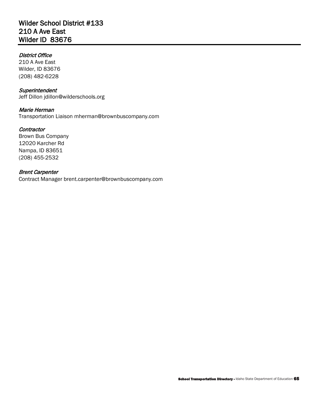# Wilder School District #133 210 A Ave East Wilder ID 83676

# District Office

210 A Ave East Wilder, ID 83676 (208) 482-6228

### **Superintendent**

Jeff Dillon [jdillon@wilderschools.org](mailto:jdillon@wilderschools.org) 

# Marie Herman

Transportation Liaison [mherman@brownbuscompany.com](mailto:mherman@brownbuscompany.com) 

## **Contractor**

12020 Karcher Rd Brown Bus Company Nampa, ID 83651 (208) 455-2532

# Brent Carpenter

Contract Manager [brent.carpenter@brownbuscompany.com](mailto:brent.carpenter@brownbuscompany.com)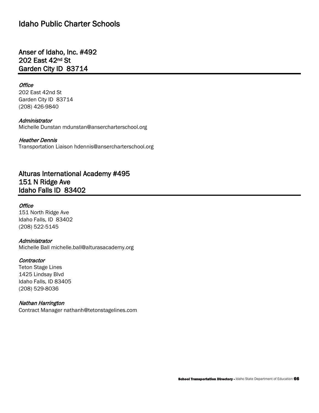# Idaho Public Charter Schools

# Anser of Idaho, Inc. #492 202 East 42nd St Garden City ID 83714

### **Office**

202 East 42nd St Garden City ID 83714 (208) 426-9840

#### Administrator

Michelle Dunstan [mdunstan@ansercharterschool.org](mailto:mdunstan@ansercharterschool.org)

#### Heather Dennis

Transportation Liaison [hdennis@ansercharterschool.org](mailto:hdennis@ansercharterschool.org) 

# Alturas International Academy #495 151 N Ridge Ave Idaho Falls ID 83402

# **Office**

 Idaho Falls, ID 83402 151 North Ridge Ave (208) 522-5145

#### Administrator

Michelle Ball [michelle.ball@alturasacademy.org](mailto:michelle.ball@alturasacademy.org) 

#### **Contractor**

Teton Stage Lines 1425 Lindsay Blvd Idaho Falls, ID 83405 (208) 529-8036

#### Nathan Harrington

Contract Manager [nathanh@tetonstagelines.com](mailto:nathanh@tetonstagelines.com)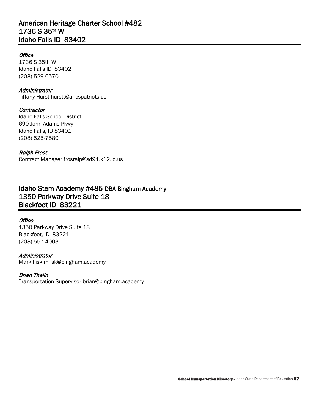# American Heritage Charter School #482 1736 S 35th W Idaho Falls ID 83402

# **Office**

 Idaho Falls ID 83402 1736 S 35th W (208) 529-6570

## **Administrator**

Tiffany Hurst [hurstt@ahcspatriots.us](mailto:hurstt@ahcspatriots.us)

## **Contractor**

Idaho Falls, ID 83401<br>(208) 525-7580 Idaho Falls School District 690 John Adams Pkwy

# Ralph Frost

Contract Manager [frosralp@sd91.k12.id.us](mailto:frosralp@sd91.k12.id.us) 

# Idaho Stem Academy #485 DBA Bingham Academy 1350 Parkway Drive Suite 18 Blackfoot ID 83221

# **Office**

1350 Parkway Drive Suite 18 Blackfoot, ID 83221 (208) 557-4003

### Administrator

Mark Fisk [mfisk@bingham.academy](mailto:mfisk@bingham.academy) 

# Brian Thelin

Transportation Superviso[r brian@bingham.academy](mailto:brian@bingham.academy)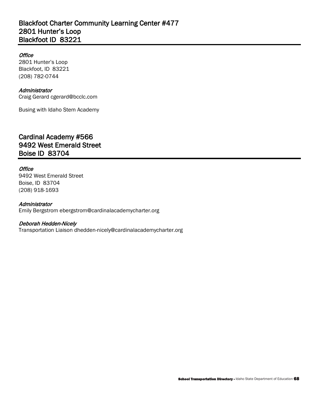# Blackfoot Charter Community Learning Center #477 2801 Hunter's Loop Blackfoot ID 83221

# **Office**

2801 Hunter's Loop Blackfoot, ID 83221 (208) 782-0744

## **Administrator**

Craig Gerard [cgerard@bcclc.com](mailto:cgerard@bcclc.com) 

Busing with Idaho Stem Academy

# Cardinal Academy #566 9492 West Emerald Street Boise ID 83704

# **Office**

9492 West Emerald Street Boise, ID 83704 (208) 918-1693

## **Administrator**

Emily Bergstrom [ebergstrom@cardinalacademycharter.org](mailto:ebergstrom@cardinalacademycharter.org) 

# Deborah Hedden-Nicely

Transportation Liaison [dhedden-nicely@cardinalacademycharter.org](mailto:dhedden-nicely@cardinalacademycharter.org)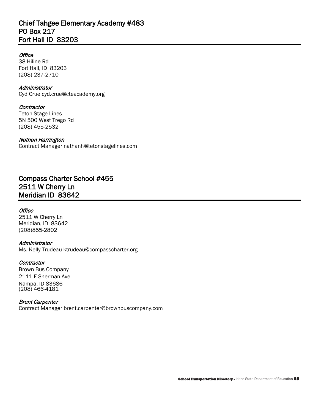# Chief Tahgee Elementary Academy #483 PO Box 217 Fort Hall ID 83203

## **Office**

38 Hiline Rd 38 Hiline Rd<br>Fort Hall, ID 83203 (208) 237-2710

### Administrator

Cyd Crue [cyd.crue@cteacademy.org](mailto:cyd.crue@cteacademy.org) 

### **Contractor**

**Teton Stage Lines** 5N 500 West Trego Rd (208) 455-2532

Nathan Harrington Contract Manager [nathanh@tetonstagelines.com](mailto:nathanh@tetonstagelines.com) 

# Compass Charter School #455 2511 W Cherry Ln Meridian ID 83642

### **Office**

 Meridian, ID 83642 2511 W Cherry Ln (208)855-2802

### Administrator

Ms. Kelly Trudeau [ktrudeau@compasscharter.org](mailto:ktrudeau@compasscharter.org)

### **Contractor**

 Brown Bus Company 2111 E Sherman Ave Nampa, ID 83686 (208) 466-4181

#### Brent Carpenter

Contract Manager [brent.carpenter@brownbuscompany.com](mailto:brent.carpenter@brownbuscompany.com)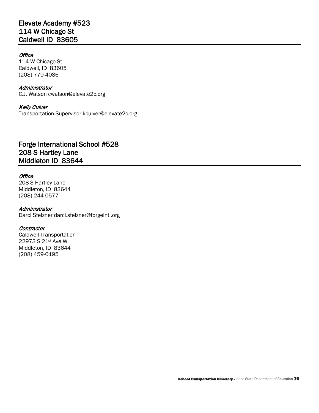# Elevate Academy #523 114 W Chicago St Caldwell ID 83605

## **Office**

 Caldwell, ID 83605 114 W Chicago St (208) 779-4086

#### Administrator

C.J. Watson [cwatson@elevate2c.org](mailto:cwatson@elevate2c.org)

### Kelly Culver

Transportation Superviso[r kculver@elevate2c.org](mailto:kculver@elevate2c.org) 

# Forge International School #528 208 S Hartley Lane Middleton ID 83644

## **Office**

208 S Hartley Lane Middleton, ID 83644 (208) 244-0577

### Administrator

Darci Stelzner [darci.stelzner@forgeintl.org](mailto:darci.stelzner@forgeintl.org)

### **Contractor**

 22973 S 21st Ave W Caldwell Transportation Middleton, ID 83644 (208) 459-0195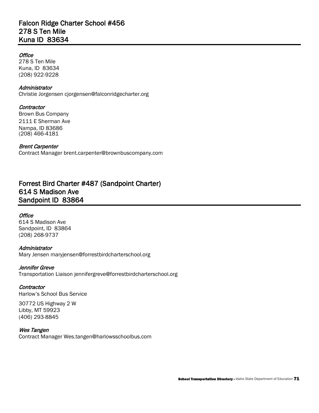# Falcon Ridge Charter School #456 278 S Ten Mile Kuna ID 83634

## **Office**

278 S Ten Mile Kuna, ID 83634 (208) 922-9228

### **Administrator**

Christie Jorgensen [cjorgensen@falconridgecharter.org](mailto:cjorgensen@falconridgecharter.org)

### **Contractor**

Brown Bus Company 2111 E Sherman Ave Nampa, ID 83686 (208) 466-4181

#### Brent Carpenter

Contract Manager [brent.carpenter@brownbuscompany.com](mailto:brent.carpenter@brownbuscompany.com) 

# Forrest Bird Charter #487 (Sandpoint Charter) 614 S Madison Ave Sandpoint ID 83864

### **Office**

614 S Madison Ave Sandpoint, ID 83864 (208) 268-9737

### **Administrator**

Mary Jensen [maryjensen@forrestbirdcharterschool.org](mailto:maryjensen@forrestbirdcharterschool.org) 

#### Jennifer Greve

Transportation Liaison [jennifergreve@forrestbirdcharterschool.org](mailto:jennifergreve@forrestbirdcharterschool.org) 

### **Contractor**

Harlow's School Bus Service

30772 US Highway 2 W Libby, MT 59923 (406) 293-8845

#### Wes Tangen

Contract Manager [Wes.tangen@harlowsschoolbus.com](mailto:Wes.tangen@harlowsschoolbus.com)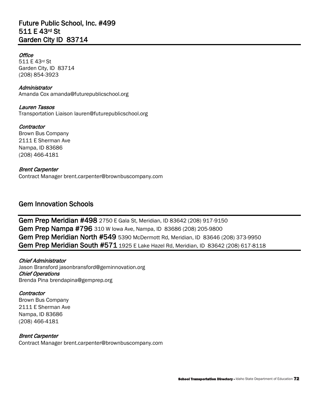# Future Public School, Inc. #499 511 E 43rd St Garden City ID 83714

## **Office**

 511 E 43rd St Garden City, ID 83714 (208) 854-3923

Administrator Amanda Cox [amanda@futurepublicschool.org](mailto:amanda@futurepublicschool.org) 

Lauren Tassos

Transportation Liaison [lauren@futurepublicschool.org](mailto:lauren@futurepublicschool.org) 

 Brown Bus Company **Contractor** 2111 E Sherman Ave Nampa, ID 83686 (208) 466-4181

Brent Carpenter Contract Manager [brent.carpenter@brownbuscompany.com](mailto:brent.carpenter@brownbuscompany.com) 

# Gem Innovation Schools

Gem Prep Meridian North #549 5390 McDermott Rd, Meridian, ID 83646 (208) 373-9950 Gem Prep Meridian South #571 1925 E Lake Hazel Rd, Meridian, ID 83642 (208) 617-8118 Gem Prep Meridian #498 [2750 E Gala St, Meridian, ID 83642](https://www.bing.com/local?lid=YN873x17950650837301327320&id=YN873x17950650837301327320&q=Gem+Prep&name=Gem+Prep&cp=43.5899658203125%7e-116.36000061035156&ppois=43.5899658203125_-116.36000061035156_Gem+Prep) (208) 917-9150 Gem Prep Nampa #796 310 W Iowa Ave, Nampa, ID 83686 (208) 205-9800

Chief Administrator Jason Bransford [jasonbransford@geminnovation.org](mailto:jasonbransford@geminnovation.org)  Chief Operations Brenda Pina [brendapina@gemprep.org](mailto:brendapina@gemprep.org) 

# **Contractor**

 Brown Bus Company 2111 E Sherman Ave Nampa, ID 83686 (208) 466-4181

# Brent Carpenter

Contract Manager [brent.carpenter@brownbuscompany.com](mailto:brent.carpenter@brownbuscompany.com)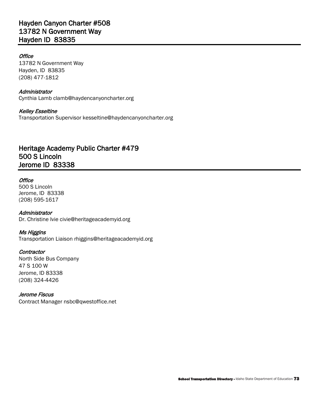# Hayden Canyon Charter #508 13782 N Government Way Hayden ID 83835

#### **Office**

13782 N Government Way Hayden, ID 83835 (208) 477-1812

#### **Administrator**

Cynthia Lamb [clamb@haydencanyoncharter.org](mailto:clamb@haydencanyoncharter.org) 

#### Kelley Esseltine

Transportation Superviso[r kesseltine@haydencanyoncharter.org](mailto:kesseltine@haydencanyoncharter.org) 

# Heritage Academy Public Charter #479 500 S Lincoln Jerome ID 83338

#### **Office**

500 S Lincoln Jerome, ID 83338 (208) 595-1617

#### Administrator

Dr. Christine Ivie [civie@heritageacademyid.org](mailto:civie@heritageacademyid.org) 

#### Ms Higgins

Transportation Liaison [rhiggins@heritageacademyid.org](mailto:rhiggins@heritageacademyid.org)

#### **Contractor**

North Side Bus Company 47 S 100 W Jerome, ID 83338 (208) 324-4426

#### Jerome Fiscus

Contract Manager [nsbc@qwestoffice.net](mailto:nsbc@qwestoffice.net)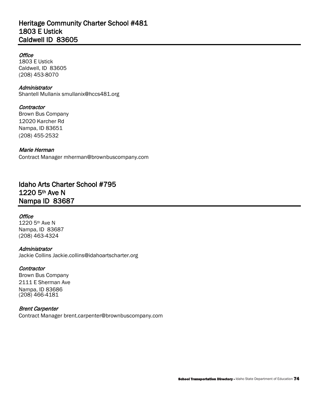# Caldwell ID 83605 Heritage Community Charter School #481 1803 E Ustick

#### **Office**

 Caldwell, ID 83605 1803 E Ustick (208) 453-8070

Administrator Shantell Mullanix [smullanix@hccs481.org](mailto:smullanix@hccs481.org) 

# **Contractor**

 Brown Bus Company 12020 Karcher Rd Nampa, ID 83651 (208) 455-2532

Marie Herman

Contract Manager [mherman@brownbuscompany.com](mailto:mherman@brownbuscompany.com)

# Idaho Arts Charter School #795 1220 5th Ave N Nampa ID 83687

#### **Office**

 1220 5th Ave N Nampa, ID 83687 (208) 463-4324

#### Administrator

Jackie Collins [Jackie.collins@idahoartscharter.org](mailto:Jackie.collins@idahoartscharter.org) 

#### **Contractor**

 Brown Bus Company 2111 E Sherman Ave Nampa, ID 83686 (208) 466-4181

#### Brent Carpenter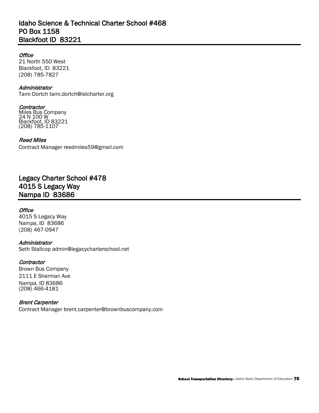# Idaho Science & Technical Charter School #468 PO Box 1158 Blackfoot ID 83221

#### **Office**

21 North 550 West Blackfoot, ID 83221 (208) 785-7827

#### Administrator

Tami Dortch [tami.dortch@istcharter.org](mailto:tami.dortch@istcharter.org)

**Contractor** Miles Bus Company 24 N 100 W Blackfoot, ID 83221 (208) 785-1107

#### Reed Miles

Contract Manager [reedmiles59@gmail.com](mailto:reedmiles59@gmail.com) 

# Legacy Charter School #478 4015 S Legacy Way Nampa ID 83686

#### **Office**

 Nampa, ID 83686 4015 S Legacy Way (208) 467-0947

#### **Administrator**

Seth Stallcop [admin@legacycharterschool.net](mailto:admin@legacycharterschool.net) 

#### **Contractor**

 Brown Bus Company 2111 E Sherman Ave Nampa, ID 83686 (208) 466-4181

#### Brent Carpenter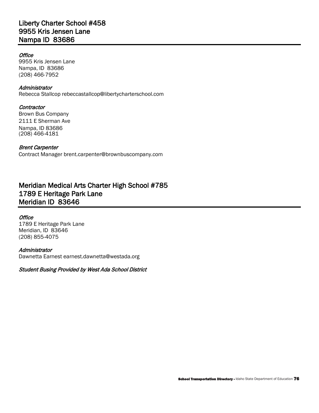#### **Office**

 Nampa, ID 83686 9955 Kris Jensen Lane (208) 466-7952

#### Administrator

Rebecca Stallcop [rebeccastallcop@libertycharterschool.com](mailto:rebeccastallcop@libertycharterschool.com) 

#### **Contractor**

 Brown Bus Company 2111 E Sherman Ave Nampa, ID 83686 (208) 466-4181

#### Brent Carpenter

Contract Manager [brent.carpenter@brownbuscompany.com](mailto:brent.carpenter@brownbuscompany.com) 

# Meridian Medical Arts Charter High School #785 1789 E Heritage Park Lane Meridian ID 83646

#### **Office**

 Meridian, ID 83646 1789 E Heritage Park Lane (208) 855-4075

#### **Administrator**

Dawnetta Earnest [earnest.dawnetta@westada.org](mailto:earnest.dawnetta@westada.org) 

Student Busing Provided by West Ada School District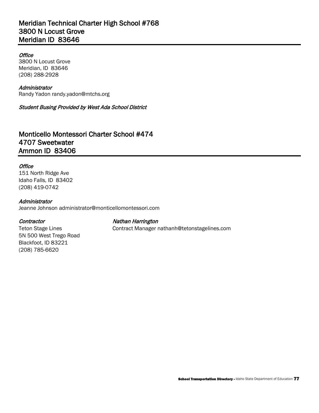# Meridian Technical Charter High School #768 3800 N Locust Grove Meridian ID 83646

#### **Office**

 Meridian, ID 83646 3800 N Locust Grove (208) 288-2928

#### Administrator

Randy Yadon [randy.yadon@mtchs.org](mailto:randy.yadon@mtchs.org)

#### Student Busing Provided by West Ada School District

# Monticello Montessori Charter School #474 4707 Sweetwater Ammon ID 83406

#### **Office**

 Idaho Falls, ID 83402 151 North Ridge Ave (208) 419-0742

#### **Administrator**

Jeanne Johnson [administrator@monticellomontessori.com](mailto:administrator@monticellomontessori.com)

**Teton Stage Lines** 

(208) 785-6620

Blackfoot, ID 83221

5N 500 West Trego Road

**Contractor** Contractor **Nathan Harrington** 

Contract Manager nathanh@tetonstagelines.com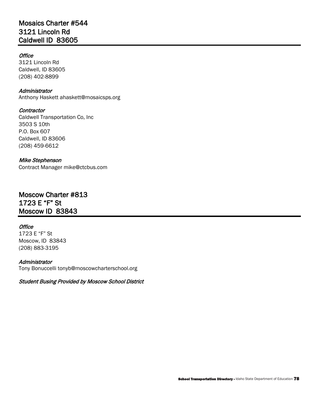# Mosaics Charter #544 3121 Lincoln Rd Caldwell ID 83605

#### **Office**

3121 Lincoln Rd Caldwell, ID 83605 (208) 402-8899

#### **Administrator**

Anthony Haskett [ahaskett@mosaicsps.org](mailto:ahaskett@mosaicsps.org) 

#### **Contractor**

Caldwell Transportation Co, Inc 3503 S 10th P.O. Box 607 Caldwell, ID 83606 (208) 459-6612

#### Mike Stephenson

# Contract Manager mike@ctcbus.com<br>**Moscow Charter #813** 1723 E "F" St Moscow ID 83843

#### **Office**

 Moscow, ID 83843 1723 E "F" St (208) 883-3195

#### Administrator

Tony Bonuccelli [tonyb@moscowcharterschool.org](mailto:tonyb@moscowcharterschool.org) 

Student Busing Provided by Moscow School District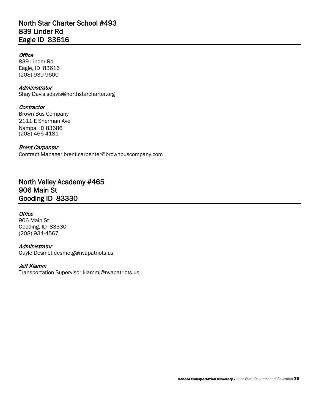# North Star Charter School #493 839 Linder Rd Eagle ID 83616

#### **Office**

839 Linder Rd Eagle, ID 83616 (208) 939-9600

#### Administrator

Shay Davis [sdavis@northstarcharter.org](mailto:sdavis@northstarcharter.org) 

#### **Contractor**

 Brown Bus Company 2111 E Sherman Ave Nampa, ID 83686 (208) 466-4181

#### Brent Carpenter

Contract Manager [brent.carpenter@brownbuscompany.com](mailto:brent.carpenter@brownbuscompany.com) 

# North Valley Academy #465 906 Main St Gooding ID 83330

#### **Office**

906 Main St Gooding, ID 83330 (208) 934-4567

# Administrator

Gayle Desmet [desmetg@nvapatriots.us](mailto:desmetg@nvapatriots.us) 

#### Jeff Klamm

Transportation Superviso[r klammj@nvapatriots.us](mailto:klammj@nvapatriots.us)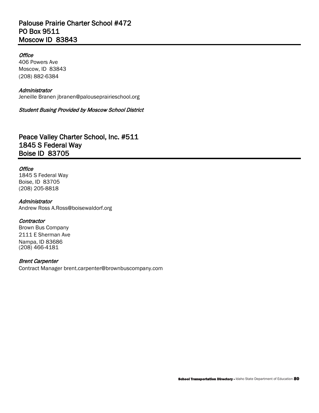# Palouse Prairie Charter School #472 PO Box 9511 Moscow ID 83843

#### **Office**

 Moscow, ID 83843 406 Powers Ave (208) 882-6384

#### Administrator

Jeneille Branen [jbranen@palouseprairieschool.org](mailto:jbranen@palouseprairieschool.org)

Student Busing Provided by Moscow School District

# Peace Valley Charter School, Inc. #511 1845 S Federal Way Boise ID 83705

#### **Office**

1845 S Federal Way Boise, ID 83705 (208) 205-8818

#### **Administrator**

Andrew Ross [A.Ross@boisewaldorf.org](mailto:A.Ross@boisewaldorf.org) 

#### **Contractor**

 Brown Bus Company 2111 E Sherman Ave Nampa, ID 83686 (208) 466-4181

#### Brent Carpenter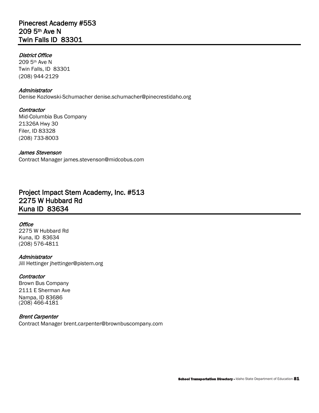# Pinecrest Academy #553 209 5th Ave N Twin Falls ID 83301

#### District Office

 209 5th Ave N Twin Falls, ID 83301 (208) 944-2129

#### Administrator

Denise Kozlowski-Schumacher [denise.schumacher@pinecrestidaho.org](mailto:denise.schumacher@pinecrestidaho.org) 

**Contractor** Mid-Columbia Bus Company 21326A Hwy 30 Filer, ID 83328 (208) 733-8003

#### James Stevenson

Contract Manager [james.stevenson@midcobus.com](mailto:james.stevenson@midcobus.com) 

# Project Impact Stem Academy, Inc. #513 2275 W Hubbard Rd Kuna ID 83634

#### **Office**

2275 W Hubbard Rd Kuna, ID 83634 (208) 576-4811

#### Administrator

Jill Hettinger [jhettinger@pistem.org](mailto:jhettinger@pistem.org) 

#### **Contractor**

 Brown Bus Company 2111 E Sherman Ave Nampa, ID 83686 (208) 466-4181

#### Brent Carpenter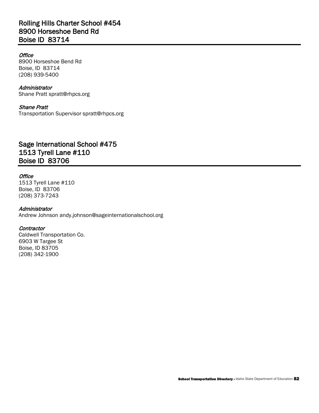# Rolling Hills Charter School #454 8900 Horseshoe Bend Rd Boise ID 83714

#### **Office**

8900 Horseshoe Bend Rd Boise, ID 83714 (208) 939-5400

# Administrator

Shane Pratt [spratt@rhpcs.org](mailto:spratt@rhpcs.org)

#### Shane Pratt Transportation Supervisor [spratt@rhpcs.org](mailto:spratt@rhpcs.org)

# Sage International School #475 1513 Tyrell Lane #110 Boise ID 83706

#### **Office**

1513 Tyrell Lane #110 Boise, ID 83706 (208) 373-7243

#### Administrator

Andrew Johnson [andy.johnson@sageinternationalschool.org](mailto:andy.johnson@sageinternationalschool.org)

#### **Contractor**

 Caldwell Transportation Co. 6903 W Targee St Boise, ID 83705 (208) 342-1900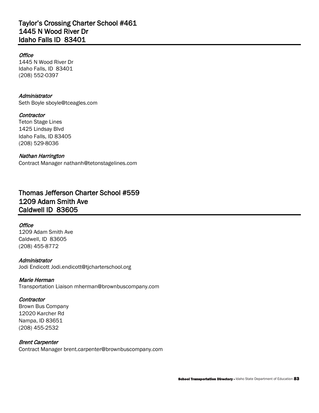# Taylor's Crossing Charter School #461 1445 N Wood River Dr Idaho Falls ID 83401

#### **Office**

1445 N Wood River Dr 1445 N Wood River Dr<br>Idaho Falls, ID 83401 (208) 552-0397

#### **Administrator**

Seth Boyle [sboyle@tceagles.com](mailto:sboyle@tceagles.com) 

#### **Contractor**

Teton Stage Lines 1425 Lindsay Blvd Idaho Falls, ID 83405 (208) 529-8036

### Nathan Harrington

Contract Manager [nathanh@tetonstagelines.com](mailto:nathanh@tetonstagelines.com) 

# Thomas Jefferson Charter School #559 1209 Adam Smith Ave Caldwell ID 83605

#### **Office**

 Caldwell, ID 83605 1209 Adam Smith Ave (208) 455-8772

#### **Administrator**

Jodi Endicott [Jodi.endicott@tjcharterschool.org](mailto:Jodi.endicott@tjcharterschool.org) 

#### Marie Herman

Transportation Liaison [mherman@brownbuscompany.com](mailto:mherman@brownbuscompany.com) 

#### **Contractor**

 Brown Bus Company 12020 Karcher Rd Nampa, ID 83651 (208) 455-2532

### Brent Carpenter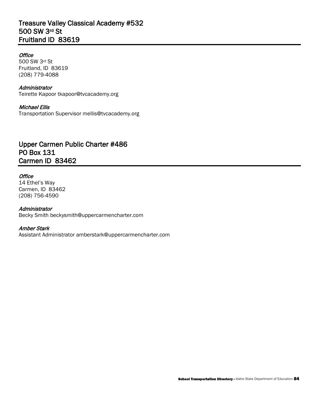# Treasure Valley Classical Academy #532 500 SW 3rd St Fruitland ID 83619

#### **Office**

 500 SW 3rd St Fruitland, ID 83619 (208) 779-4088

#### Administrator

Teirette Kapoor [tkapoor@tvcacademy.org](mailto:tkapoor@tvcacademy.org)

#### Michael Ellis

Transportation Supervisor [mellis@tvcacademy.org](mailto:mellis@tvcacademy.org)

# Upper Carmen Public Charter #486 PO Box 131 Carmen ID 83462

#### **Office**

 Carmen, ID 83462 14 Ethel's Way (208) 756-4590

#### Administrator

Becky Smith [beckysmith@uppercarmencharter.com](mailto:beckysmith@uppercarmencharter.com)

#### Amber Stark

Assistant Administrator [amberstark@uppercarmencharter.com](mailto:amberstark@uppercarmencharter.com)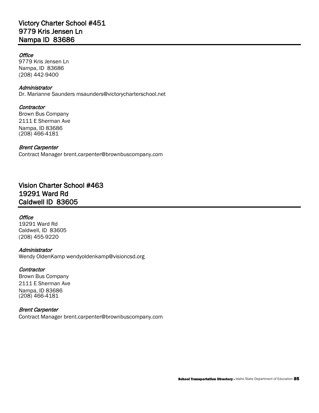# Victory Charter School #451 9779 Kris Jensen Ln Nampa ID 83686

#### **Office**

 Nampa, ID 83686 9779 Kris Jensen Ln (208) 442-9400

#### Administrator

Dr. Marianne Saunders [msaunders@victorycharterschool.net](mailto:msaunders@victorycharterschool.net)

#### **Contractor**

 Brown Bus Company 2111 E Sherman Ave Nampa, ID 83686 (208) 466-4181

#### Brent Carpenter

Contract Manager [brent.carpenter@brownbuscompany.com](mailto:brent.carpenter@brownbuscompany.com) 

# Vision Charter School #463 19291 Ward Rd Caldwell ID 83605

#### **Office**

 Caldwell, ID 83605 19291 Ward Rd (208) 455-9220

#### **Administrator**

Wendy OldenKamp [wendyoldenkamp@visioncsd.org](mailto:wendyoldenkamp@visioncsd.org) 

#### **Contractor**

 Brown Bus Company 2111 E Sherman Ave Nampa, ID 83686 (208) 466-4181

#### Brent Carpenter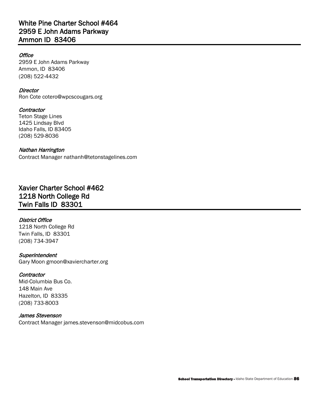# White Pine Charter School #464 2959 E John Adams Parkway Ammon ID 83406

#### **Office**

 Ammon, ID 83406 2959 E John Adams Parkway (208) 522-4432

#### **Director**

Ron Cote [cotero@wpcscougars.org](mailto:cotero@wpcscougars.org)

#### **Contractor**

Teton Stage Lines 1425 Lindsay Blvd Idaho Falls, ID 83405 (208) 529-8036

#### Nathan Harrington

Contract Manager [nathanh@tetonstagelines.com](mailto:nathanh@tetonstagelines.com) 

# Xavier Charter School #462 1218 North College Rd Twin Falls ID 83301

#### District Office

1218 North College Rd Twin Falls, ID 83301 (208) 734-3947

#### **Superintendent**

Gary Moon [gmoon@xaviercharter.org](mailto:gmoon@xaviercharter.org)

#### **Contractor**

Mid-Columbia Bus Co. 148 Main Ave Hazelton, ID 83335 (208) 733-8003

#### James Stevenson

Contract Manager [james.stevenson@midcobus.com](mailto:james.stevenson@midcobus.com)